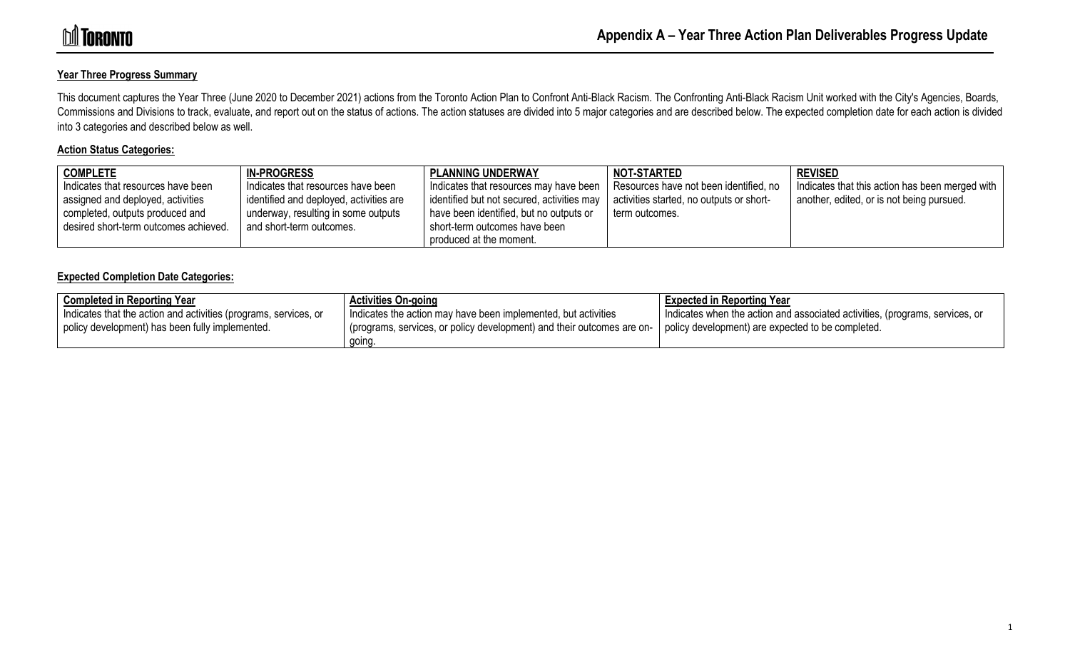### **Year Three Progress Summary**

This document captures the Year Three (June 2020 to December 2021) actions from the Toronto Action Plan to Confront Anti-Black Racism. The Confronting Anti-Black Racism Unit worked with the City's Agencies, Boards, Commissions and Divisions to track, evaluate, and report out on the status of actions. The action statuses are divided into 5 major categories and are described below. The expected completion date for each action is divided into 3 categories and described below as well.

#### **Action Status Categories:**

| <b>COMPLETE</b>                       | <b>IN-PROGRESS</b>                      | <b>I PLANNING UNDERWAY</b>                | NOT-STARTED                              | <b>REVISED</b>                                  |
|---------------------------------------|-----------------------------------------|-------------------------------------------|------------------------------------------|-------------------------------------------------|
| Indicates that resources have been    | Indicates that resources have been      | Indicates that resources may have been    | Resources have not been identified, no   | Indicates that this action has been merged with |
| assigned and deployed, activities     | identified and deployed, activities are | dentified but not secured, activities may | activities started, no outputs or short- | another, edited, or is not being pursued.       |
| completed, outputs produced and       | underway, resulting in some outputs     | have been identified, but no outputs or   | term outcomes.                           |                                                 |
| desired short-term outcomes achieved. | and short-term outcomes.                | short-term outcomes have been             |                                          |                                                 |
|                                       |                                         | produced at the moment.                   |                                          |                                                 |

#### **Expected Completion Date Categories:**

| <b>Completed in Reporting Year</b>                               | <b>Activities On-going</b>                                            | <b>Expected in Reporting Year</b>                                            |
|------------------------------------------------------------------|-----------------------------------------------------------------------|------------------------------------------------------------------------------|
| Indicates that the action and activities (programs, services, or | I Indicates the action may have been implemented, but activities      | Indicates when the action and associated activities, (programs, services, or |
| policy development) has been fully implemented.                  | programs, services, or policy development) and their outcomes are on- | I policy development) are expected to be completed.                          |
|                                                                  | going                                                                 |                                                                              |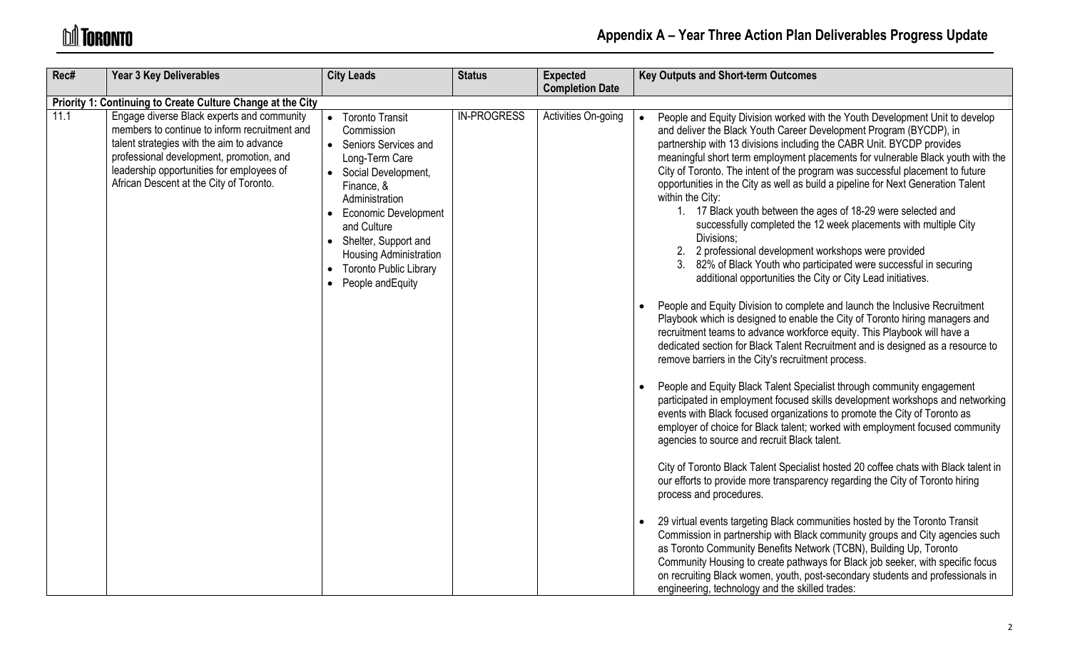# **M** TORONTO

| Rec# | <b>Year 3 Key Deliverables</b>                                                                                                                                                                                                                                               | <b>City Leads</b>                                                                                                                                                                                                                                                                                     | <b>Status</b>      | <b>Expected</b><br><b>Completion Date</b> | <b>Key Outputs and Short-term Outcomes</b>                                                                                                                                                                                                                                                                                                                                                                                                                                                                                                                                                                                                                                                                                                                                                                                                                                                                                                                                                                                                                                                                                                                                                                                                                                                                                                                                                                                                                                                                                                                                                                                                                                                                                                                                                                                                                                                                                                                                                                                                                                                                                                                                                                                                                                         |
|------|------------------------------------------------------------------------------------------------------------------------------------------------------------------------------------------------------------------------------------------------------------------------------|-------------------------------------------------------------------------------------------------------------------------------------------------------------------------------------------------------------------------------------------------------------------------------------------------------|--------------------|-------------------------------------------|------------------------------------------------------------------------------------------------------------------------------------------------------------------------------------------------------------------------------------------------------------------------------------------------------------------------------------------------------------------------------------------------------------------------------------------------------------------------------------------------------------------------------------------------------------------------------------------------------------------------------------------------------------------------------------------------------------------------------------------------------------------------------------------------------------------------------------------------------------------------------------------------------------------------------------------------------------------------------------------------------------------------------------------------------------------------------------------------------------------------------------------------------------------------------------------------------------------------------------------------------------------------------------------------------------------------------------------------------------------------------------------------------------------------------------------------------------------------------------------------------------------------------------------------------------------------------------------------------------------------------------------------------------------------------------------------------------------------------------------------------------------------------------------------------------------------------------------------------------------------------------------------------------------------------------------------------------------------------------------------------------------------------------------------------------------------------------------------------------------------------------------------------------------------------------------------------------------------------------------------------------------------------------|
|      | Priority 1: Continuing to Create Culture Change at the City                                                                                                                                                                                                                  |                                                                                                                                                                                                                                                                                                       |                    |                                           |                                                                                                                                                                                                                                                                                                                                                                                                                                                                                                                                                                                                                                                                                                                                                                                                                                                                                                                                                                                                                                                                                                                                                                                                                                                                                                                                                                                                                                                                                                                                                                                                                                                                                                                                                                                                                                                                                                                                                                                                                                                                                                                                                                                                                                                                                    |
| 11.1 | Engage diverse Black experts and community<br>members to continue to inform recruitment and<br>talent strategies with the aim to advance<br>professional development, promotion, and<br>leadership opportunities for employees of<br>African Descent at the City of Toronto. | • Toronto Transit<br>Commission<br>• Seniors Services and<br>Long-Term Care<br>• Social Development,<br>Finance, &<br>Administration<br><b>Economic Development</b><br>and Culture<br>• Shelter, Support and<br><b>Housing Administration</b><br><b>Toronto Public Library</b><br>• People and Equity | <b>IN-PROGRESS</b> | Activities On-going                       | People and Equity Division worked with the Youth Development Unit to develop<br>and deliver the Black Youth Career Development Program (BYCDP), in<br>partnership with 13 divisions including the CABR Unit. BYCDP provides<br>meaningful short term employment placements for vulnerable Black youth with the<br>City of Toronto. The intent of the program was successful placement to future<br>opportunities in the City as well as build a pipeline for Next Generation Talent<br>within the City:<br>1. 17 Black youth between the ages of 18-29 were selected and<br>successfully completed the 12 week placements with multiple City<br>Divisions:<br>2 professional development workshops were provided<br>3. 82% of Black Youth who participated were successful in securing<br>additional opportunities the City or City Lead initiatives.<br>People and Equity Division to complete and launch the Inclusive Recruitment<br>Playbook which is designed to enable the City of Toronto hiring managers and<br>recruitment teams to advance workforce equity. This Playbook will have a<br>dedicated section for Black Talent Recruitment and is designed as a resource to<br>remove barriers in the City's recruitment process.<br>People and Equity Black Talent Specialist through community engagement<br>participated in employment focused skills development workshops and networking<br>events with Black focused organizations to promote the City of Toronto as<br>employer of choice for Black talent; worked with employment focused community<br>agencies to source and recruit Black talent.<br>City of Toronto Black Talent Specialist hosted 20 coffee chats with Black talent in<br>our efforts to provide more transparency regarding the City of Toronto hiring<br>process and procedures.<br>29 virtual events targeting Black communities hosted by the Toronto Transit<br>Commission in partnership with Black community groups and City agencies such<br>as Toronto Community Benefits Network (TCBN), Building Up, Toronto<br>Community Housing to create pathways for Black job seeker, with specific focus<br>on recruiting Black women, youth, post-secondary students and professionals in<br>engineering, technology and the skilled trades: |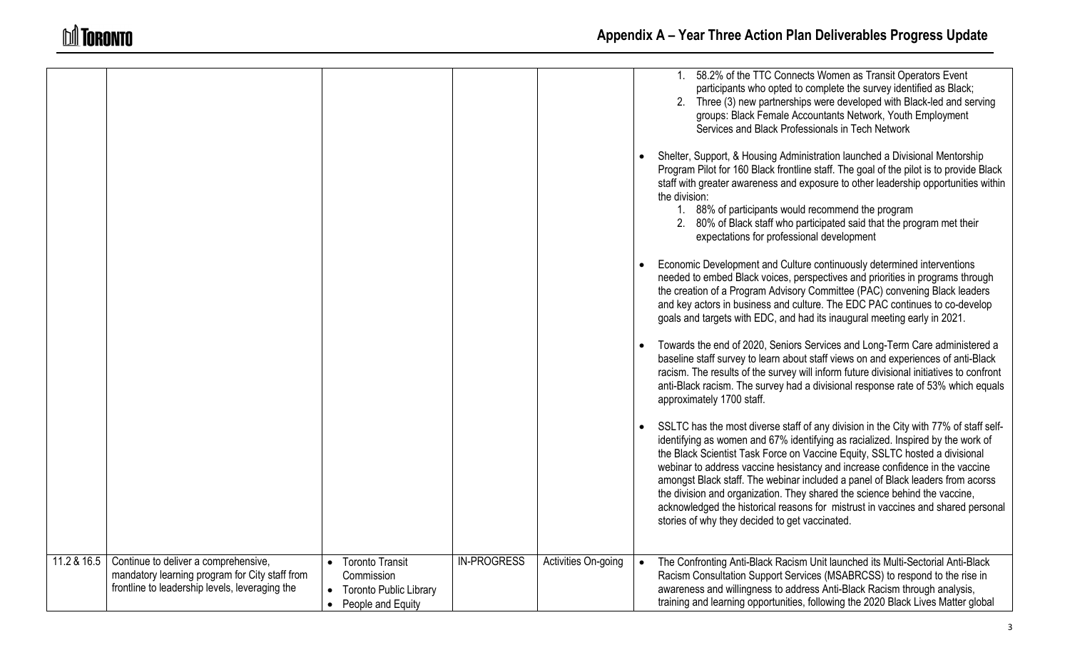|             |                                                                                                                                          |                                                                                                         |                    |                     |           | 58.2% of the TTC Connects Women as Transit Operators Event<br>participants who opted to complete the survey identified as Black;<br>2. Three (3) new partnerships were developed with Black-led and serving<br>groups: Black Female Accountants Network, Youth Employment<br>Services and Black Professionals in Tech Network                                                                                                                                                                                                                                                                                                                |
|-------------|------------------------------------------------------------------------------------------------------------------------------------------|---------------------------------------------------------------------------------------------------------|--------------------|---------------------|-----------|----------------------------------------------------------------------------------------------------------------------------------------------------------------------------------------------------------------------------------------------------------------------------------------------------------------------------------------------------------------------------------------------------------------------------------------------------------------------------------------------------------------------------------------------------------------------------------------------------------------------------------------------|
|             |                                                                                                                                          |                                                                                                         |                    |                     |           | Shelter, Support, & Housing Administration launched a Divisional Mentorship<br>Program Pilot for 160 Black frontline staff. The goal of the pilot is to provide Black<br>staff with greater awareness and exposure to other leadership opportunities within<br>the division:<br>1. 88% of participants would recommend the program<br>2. 80% of Black staff who participated said that the program met their<br>expectations for professional development                                                                                                                                                                                    |
|             |                                                                                                                                          |                                                                                                         |                    |                     |           | Economic Development and Culture continuously determined interventions<br>needed to embed Black voices, perspectives and priorities in programs through<br>the creation of a Program Advisory Committee (PAC) convening Black leaders<br>and key actors in business and culture. The EDC PAC continues to co-develop<br>goals and targets with EDC, and had its inaugural meeting early in 2021.                                                                                                                                                                                                                                             |
|             |                                                                                                                                          |                                                                                                         |                    |                     |           | Towards the end of 2020, Seniors Services and Long-Term Care administered a<br>baseline staff survey to learn about staff views on and experiences of anti-Black<br>racism. The results of the survey will inform future divisional initiatives to confront<br>anti-Black racism. The survey had a divisional response rate of 53% which equals<br>approximately 1700 staff.                                                                                                                                                                                                                                                                 |
|             |                                                                                                                                          |                                                                                                         |                    |                     |           | SSLTC has the most diverse staff of any division in the City with 77% of staff self-<br>identifying as women and 67% identifying as racialized. Inspired by the work of<br>the Black Scientist Task Force on Vaccine Equity, SSLTC hosted a divisional<br>webinar to address vaccine hesistancy and increase confidence in the vaccine<br>amongst Black staff. The webinar included a panel of Black leaders from acorss<br>the division and organization. They shared the science behind the vaccine,<br>acknowledged the historical reasons for mistrust in vaccines and shared personal<br>stories of why they decided to get vaccinated. |
| 11.2 & 16.5 | Continue to deliver a comprehensive,<br>mandatory learning program for City staff from<br>frontline to leadership levels, leveraging the | <b>Toronto Transit</b><br>Commission<br><b>Toronto Public Library</b><br>People and Equity<br>$\bullet$ | <b>IN-PROGRESS</b> | Activities On-going | $\bullet$ | The Confronting Anti-Black Racism Unit launched its Multi-Sectorial Anti-Black<br>Racism Consultation Support Services (MSABRCSS) to respond to the rise in<br>awareness and willingness to address Anti-Black Racism through analysis,<br>training and learning opportunities, following the 2020 Black Lives Matter global                                                                                                                                                                                                                                                                                                                 |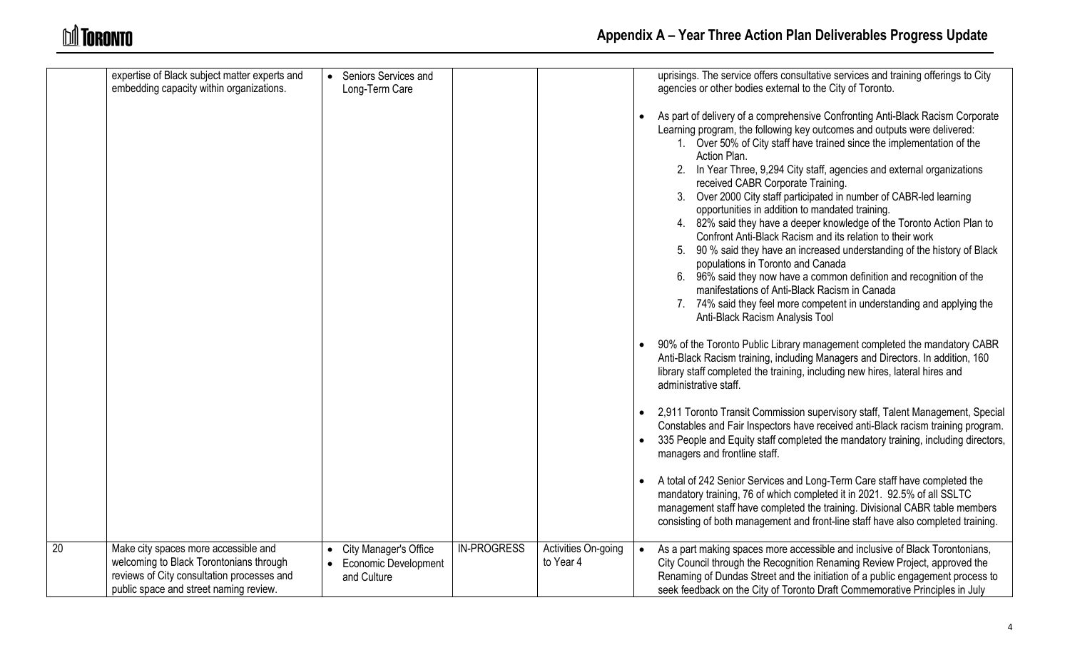|                 | expertise of Black subject matter experts and<br>embedding capacity within organizations.                                                                               | • Seniors Services and<br>Long-Term Care                                           |                    |                                  |           | uprisings. The service offers consultative services and training offerings to City<br>agencies or other bodies external to the City of Toronto.<br>As part of delivery of a comprehensive Confronting Anti-Black Racism Corporate<br>Learning program, the following key outcomes and outputs were delivered:<br>1. Over 50% of City staff have trained since the implementation of the<br>Action Plan.<br>2. In Year Three, 9,294 City staff, agencies and external organizations<br>received CABR Corporate Training.<br>3. Over 2000 City staff participated in number of CABR-led learning<br>opportunities in addition to mandated training.<br>4. 82% said they have a deeper knowledge of the Toronto Action Plan to<br>Confront Anti-Black Racism and its relation to their work<br>5. 90 % said they have an increased understanding of the history of Black<br>populations in Toronto and Canada<br>6. 96% said they now have a common definition and recognition of the<br>manifestations of Anti-Black Racism in Canada<br>7. 74% said they feel more competent in understanding and applying the<br>Anti-Black Racism Analysis Tool |
|-----------------|-------------------------------------------------------------------------------------------------------------------------------------------------------------------------|------------------------------------------------------------------------------------|--------------------|----------------------------------|-----------|--------------------------------------------------------------------------------------------------------------------------------------------------------------------------------------------------------------------------------------------------------------------------------------------------------------------------------------------------------------------------------------------------------------------------------------------------------------------------------------------------------------------------------------------------------------------------------------------------------------------------------------------------------------------------------------------------------------------------------------------------------------------------------------------------------------------------------------------------------------------------------------------------------------------------------------------------------------------------------------------------------------------------------------------------------------------------------------------------------------------------------------------------|
|                 |                                                                                                                                                                         |                                                                                    |                    |                                  |           | 90% of the Toronto Public Library management completed the mandatory CABR<br>Anti-Black Racism training, including Managers and Directors. In addition, 160<br>library staff completed the training, including new hires, lateral hires and<br>administrative staff.                                                                                                                                                                                                                                                                                                                                                                                                                                                                                                                                                                                                                                                                                                                                                                                                                                                                             |
|                 |                                                                                                                                                                         |                                                                                    |                    |                                  | $\bullet$ | 2,911 Toronto Transit Commission supervisory staff, Talent Management, Special<br>Constables and Fair Inspectors have received anti-Black racism training program.<br>335 People and Equity staff completed the mandatory training, including directors,<br>managers and frontline staff.                                                                                                                                                                                                                                                                                                                                                                                                                                                                                                                                                                                                                                                                                                                                                                                                                                                        |
|                 |                                                                                                                                                                         |                                                                                    |                    |                                  |           | A total of 242 Senior Services and Long-Term Care staff have completed the<br>mandatory training, 76 of which completed it in 2021. 92.5% of all SSLTC<br>management staff have completed the training. Divisional CABR table members<br>consisting of both management and front-line staff have also completed training.                                                                                                                                                                                                                                                                                                                                                                                                                                                                                                                                                                                                                                                                                                                                                                                                                        |
| $\overline{20}$ | Make city spaces more accessible and<br>welcoming to Black Torontonians through<br>reviews of City consultation processes and<br>public space and street naming review. | <b>City Manager's Office</b><br>$\bullet$<br>• Economic Development<br>and Culture | <b>IN-PROGRESS</b> | Activities On-going<br>to Year 4 |           | As a part making spaces more accessible and inclusive of Black Torontonians,<br>City Council through the Recognition Renaming Review Project, approved the<br>Renaming of Dundas Street and the initiation of a public engagement process to<br>seek feedback on the City of Toronto Draft Commemorative Principles in July                                                                                                                                                                                                                                                                                                                                                                                                                                                                                                                                                                                                                                                                                                                                                                                                                      |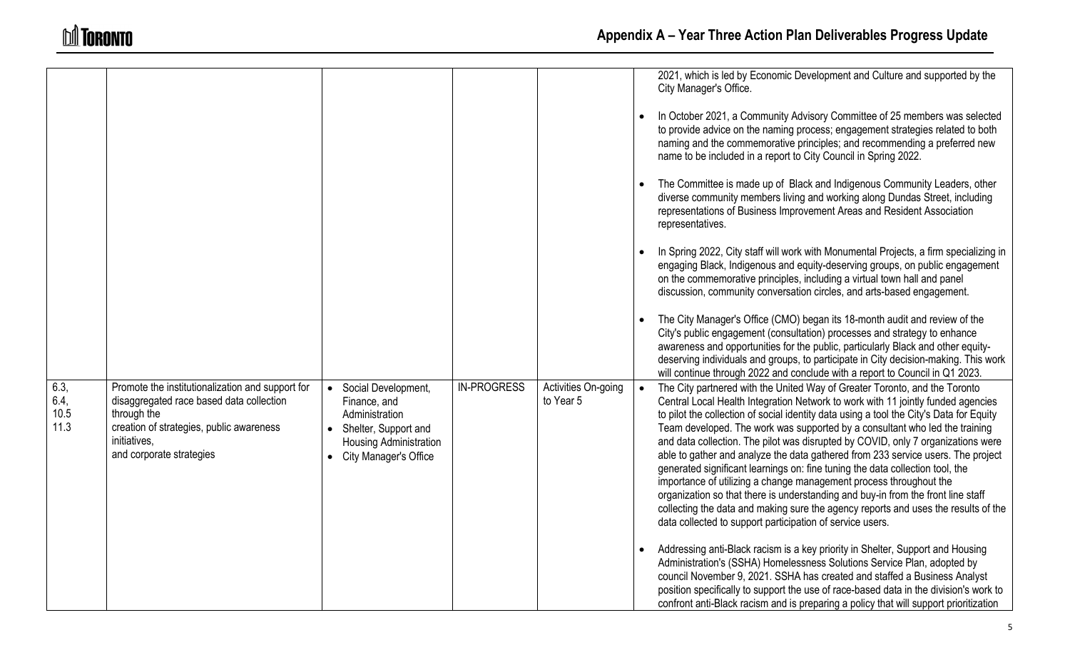|                              |                                                                                                                                                                                                     |                                                                                                                                    |                    |                                  |           | 2021, which is led by Economic Development and Culture and supported by the<br>City Manager's Office.                                                                                                                                                                                                                                                                                                                                                                                                                                                                                                                                                                                                                                                                                                                                                                                                          |
|------------------------------|-----------------------------------------------------------------------------------------------------------------------------------------------------------------------------------------------------|------------------------------------------------------------------------------------------------------------------------------------|--------------------|----------------------------------|-----------|----------------------------------------------------------------------------------------------------------------------------------------------------------------------------------------------------------------------------------------------------------------------------------------------------------------------------------------------------------------------------------------------------------------------------------------------------------------------------------------------------------------------------------------------------------------------------------------------------------------------------------------------------------------------------------------------------------------------------------------------------------------------------------------------------------------------------------------------------------------------------------------------------------------|
|                              |                                                                                                                                                                                                     |                                                                                                                                    |                    |                                  |           | In October 2021, a Community Advisory Committee of 25 members was selected<br>to provide advice on the naming process; engagement strategies related to both<br>naming and the commemorative principles; and recommending a preferred new<br>name to be included in a report to City Council in Spring 2022.                                                                                                                                                                                                                                                                                                                                                                                                                                                                                                                                                                                                   |
|                              |                                                                                                                                                                                                     |                                                                                                                                    |                    |                                  |           | The Committee is made up of Black and Indigenous Community Leaders, other<br>diverse community members living and working along Dundas Street, including<br>representations of Business Improvement Areas and Resident Association<br>representatives.                                                                                                                                                                                                                                                                                                                                                                                                                                                                                                                                                                                                                                                         |
|                              |                                                                                                                                                                                                     |                                                                                                                                    |                    |                                  |           | In Spring 2022, City staff will work with Monumental Projects, a firm specializing in<br>engaging Black, Indigenous and equity-deserving groups, on public engagement<br>on the commemorative principles, including a virtual town hall and panel<br>discussion, community conversation circles, and arts-based engagement.                                                                                                                                                                                                                                                                                                                                                                                                                                                                                                                                                                                    |
|                              |                                                                                                                                                                                                     |                                                                                                                                    |                    |                                  |           | The City Manager's Office (CMO) began its 18-month audit and review of the<br>City's public engagement (consultation) processes and strategy to enhance<br>awareness and opportunities for the public, particularly Black and other equity-<br>deserving individuals and groups, to participate in City decision-making. This work<br>will continue through 2022 and conclude with a report to Council in Q1 2023.                                                                                                                                                                                                                                                                                                                                                                                                                                                                                             |
| 6.3,<br>6.4,<br>10.5<br>11.3 | Promote the institutionalization and support for<br>disaggregated race based data collection<br>through the<br>creation of strategies, public awareness<br>initiatives,<br>and corporate strategies | Social Development,<br>Finance, and<br>Administration<br>Shelter, Support and<br>Housing Administration<br>• City Manager's Office | <b>IN-PROGRESS</b> | Activities On-going<br>to Year 5 | $\bullet$ | The City partnered with the United Way of Greater Toronto, and the Toronto<br>Central Local Health Integration Network to work with 11 jointly funded agencies<br>to pilot the collection of social identity data using a tool the City's Data for Equity<br>Team developed. The work was supported by a consultant who led the training<br>and data collection. The pilot was disrupted by COVID, only 7 organizations were<br>able to gather and analyze the data gathered from 233 service users. The project<br>generated significant learnings on: fine tuning the data collection tool, the<br>importance of utilizing a change management process throughout the<br>organization so that there is understanding and buy-in from the front line staff<br>collecting the data and making sure the agency reports and uses the results of the<br>data collected to support participation of service users. |
|                              |                                                                                                                                                                                                     |                                                                                                                                    |                    |                                  |           | Addressing anti-Black racism is a key priority in Shelter, Support and Housing<br>Administration's (SSHA) Homelessness Solutions Service Plan, adopted by<br>council November 9, 2021. SSHA has created and staffed a Business Analyst<br>position specifically to support the use of race-based data in the division's work to<br>confront anti-Black racism and is preparing a policy that will support prioritization                                                                                                                                                                                                                                                                                                                                                                                                                                                                                       |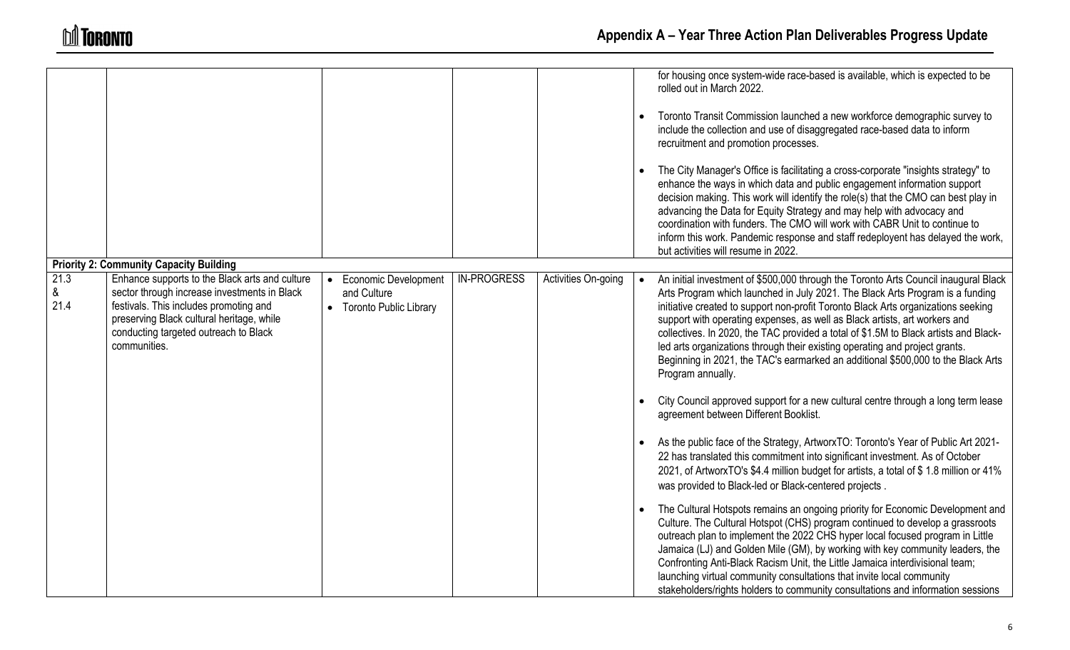|                   |                                                                                                                                                                                                                                                |                                                                   |                    |                     |           | for housing once system-wide race-based is available, which is expected to be<br>rolled out in March 2022.<br>Toronto Transit Commission launched a new workforce demographic survey to<br>include the collection and use of disaggregated race-based data to inform<br>recruitment and promotion processes.                                                                                                                                                                                                                                                                                                            |
|-------------------|------------------------------------------------------------------------------------------------------------------------------------------------------------------------------------------------------------------------------------------------|-------------------------------------------------------------------|--------------------|---------------------|-----------|-------------------------------------------------------------------------------------------------------------------------------------------------------------------------------------------------------------------------------------------------------------------------------------------------------------------------------------------------------------------------------------------------------------------------------------------------------------------------------------------------------------------------------------------------------------------------------------------------------------------------|
|                   |                                                                                                                                                                                                                                                |                                                                   |                    |                     |           | The City Manager's Office is facilitating a cross-corporate "insights strategy" to<br>enhance the ways in which data and public engagement information support<br>decision making. This work will identify the role(s) that the CMO can best play in<br>advancing the Data for Equity Strategy and may help with advocacy and<br>coordination with funders. The CMO will work with CABR Unit to continue to<br>inform this work. Pandemic response and staff redeployent has delayed the work,<br>but activities will resume in 2022.                                                                                   |
|                   | <b>Priority 2: Community Capacity Building</b>                                                                                                                                                                                                 |                                                                   |                    |                     |           |                                                                                                                                                                                                                                                                                                                                                                                                                                                                                                                                                                                                                         |
| 21.3<br>&<br>21.4 | Enhance supports to the Black arts and culture<br>sector through increase investments in Black<br>festivals. This includes promoting and<br>preserving Black cultural heritage, while<br>conducting targeted outreach to Black<br>communities. | • Economic Development<br>and Culture<br>• Toronto Public Library | <b>IN-PROGRESS</b> | Activities On-going | $\bullet$ | An initial investment of \$500,000 through the Toronto Arts Council inaugural Black<br>Arts Program which launched in July 2021. The Black Arts Program is a funding<br>initiative created to support non-profit Toronto Black Arts organizations seeking<br>support with operating expenses, as well as Black artists, art workers and<br>collectives. In 2020, the TAC provided a total of \$1.5M to Black artists and Black-<br>led arts organizations through their existing operating and project grants.<br>Beginning in 2021, the TAC's earmarked an additional \$500,000 to the Black Arts<br>Program annually. |
|                   |                                                                                                                                                                                                                                                |                                                                   |                    |                     |           | City Council approved support for a new cultural centre through a long term lease<br>agreement between Different Booklist.                                                                                                                                                                                                                                                                                                                                                                                                                                                                                              |
|                   |                                                                                                                                                                                                                                                |                                                                   |                    |                     | $\bullet$ | As the public face of the Strategy, ArtworxTO: Toronto's Year of Public Art 2021-<br>22 has translated this commitment into significant investment. As of October<br>2021, of ArtworxTO's \$4.4 million budget for artists, a total of \$1.8 million or 41%<br>was provided to Black-led or Black-centered projects.                                                                                                                                                                                                                                                                                                    |
|                   |                                                                                                                                                                                                                                                |                                                                   |                    |                     |           | The Cultural Hotspots remains an ongoing priority for Economic Development and<br>Culture. The Cultural Hotspot (CHS) program continued to develop a grassroots<br>outreach plan to implement the 2022 CHS hyper local focused program in Little<br>Jamaica (LJ) and Golden Mile (GM), by working with key community leaders, the<br>Confronting Anti-Black Racism Unit, the Little Jamaica interdivisional team;<br>launching virtual community consultations that invite local community<br>stakeholders/rights holders to community consultations and information sessions                                           |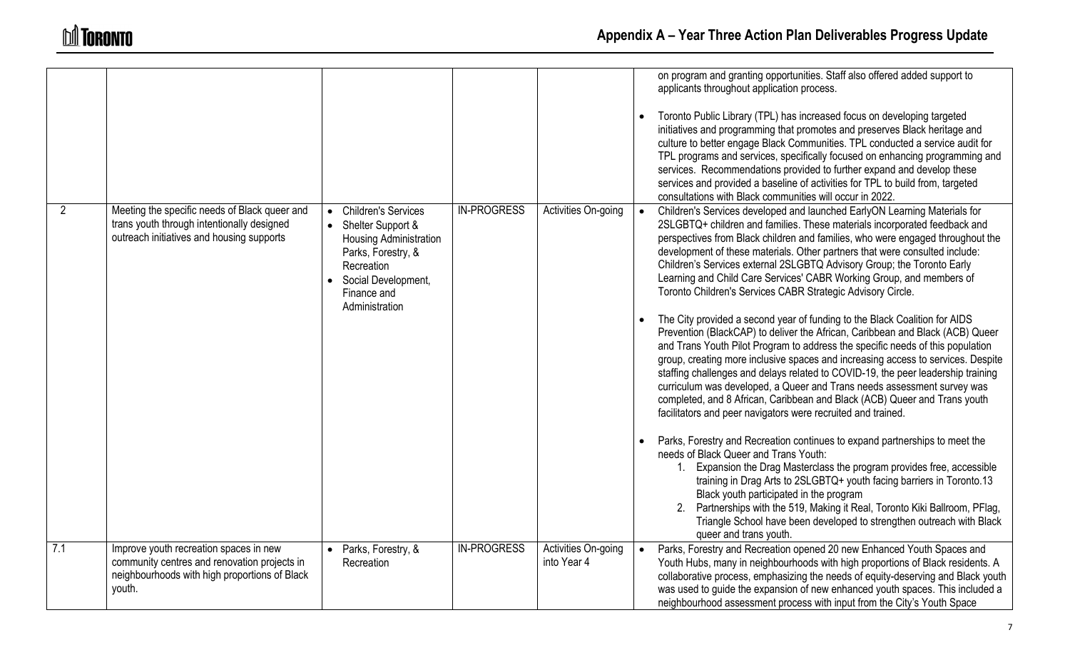|             |                                                                                                                                                   |                                                                                                                                                                         |                    |                                    |           | on program and granting opportunities. Staff also offered added support to<br>applicants throughout application process.<br>Toronto Public Library (TPL) has increased focus on developing targeted<br>initiatives and programming that promotes and preserves Black heritage and<br>culture to better engage Black Communities. TPL conducted a service audit for<br>TPL programs and services, specifically focused on enhancing programming and<br>services. Recommendations provided to further expand and develop these<br>services and provided a baseline of activities for TPL to build from, targeted<br>consultations with Black communities will occur in 2022. |
|-------------|---------------------------------------------------------------------------------------------------------------------------------------------------|-------------------------------------------------------------------------------------------------------------------------------------------------------------------------|--------------------|------------------------------------|-----------|----------------------------------------------------------------------------------------------------------------------------------------------------------------------------------------------------------------------------------------------------------------------------------------------------------------------------------------------------------------------------------------------------------------------------------------------------------------------------------------------------------------------------------------------------------------------------------------------------------------------------------------------------------------------------|
| $2^{\circ}$ | Meeting the specific needs of Black queer and<br>trans youth through intentionally designed<br>outreach initiatives and housing supports          | <b>Children's Services</b><br>• Shelter Support &<br>Housing Administration<br>Parks, Forestry, &<br>Recreation<br>Social Development,<br>Finance and<br>Administration | <b>IN-PROGRESS</b> | Activities On-going                | $\bullet$ | Children's Services developed and launched EarlyON Learning Materials for<br>2SLGBTQ+ children and families. These materials incorporated feedback and<br>perspectives from Black children and families, who were engaged throughout the<br>development of these materials. Other partners that were consulted include:<br>Children's Services external 2SLGBTQ Advisory Group; the Toronto Early<br>Learning and Child Care Services' CABR Working Group, and members of<br>Toronto Children's Services CABR Strategic Advisory Circle.                                                                                                                                   |
|             |                                                                                                                                                   |                                                                                                                                                                         |                    |                                    |           | The City provided a second year of funding to the Black Coalition for AIDS<br>Prevention (BlackCAP) to deliver the African, Caribbean and Black (ACB) Queer<br>and Trans Youth Pilot Program to address the specific needs of this population<br>group, creating more inclusive spaces and increasing access to services. Despite<br>staffing challenges and delays related to COVID-19, the peer leadership training<br>curriculum was developed, a Queer and Trans needs assessment survey was<br>completed, and 8 African, Caribbean and Black (ACB) Queer and Trans youth<br>facilitators and peer navigators were recruited and trained.                              |
|             |                                                                                                                                                   |                                                                                                                                                                         |                    |                                    |           | Parks, Forestry and Recreation continues to expand partnerships to meet the<br>needs of Black Queer and Trans Youth:<br>1. Expansion the Drag Masterclass the program provides free, accessible<br>training in Drag Arts to 2SLGBTQ+ youth facing barriers in Toronto.13<br>Black youth participated in the program<br>Partnerships with the 519, Making it Real, Toronto Kiki Ballroom, PFlag,<br>2.<br>Triangle School have been developed to strengthen outreach with Black<br>queer and trans youth.                                                                                                                                                                   |
| 7.1         | Improve youth recreation spaces in new<br>community centres and renovation projects in<br>neighbourhoods with high proportions of Black<br>youth. | Parks, Forestry, &<br>Recreation                                                                                                                                        | <b>IN-PROGRESS</b> | Activities On-going<br>into Year 4 | $\bullet$ | Parks, Forestry and Recreation opened 20 new Enhanced Youth Spaces and<br>Youth Hubs, many in neighbourhoods with high proportions of Black residents. A<br>collaborative process, emphasizing the needs of equity-deserving and Black youth<br>was used to guide the expansion of new enhanced youth spaces. This included a<br>neighbourhood assessment process with input from the City's Youth Space                                                                                                                                                                                                                                                                   |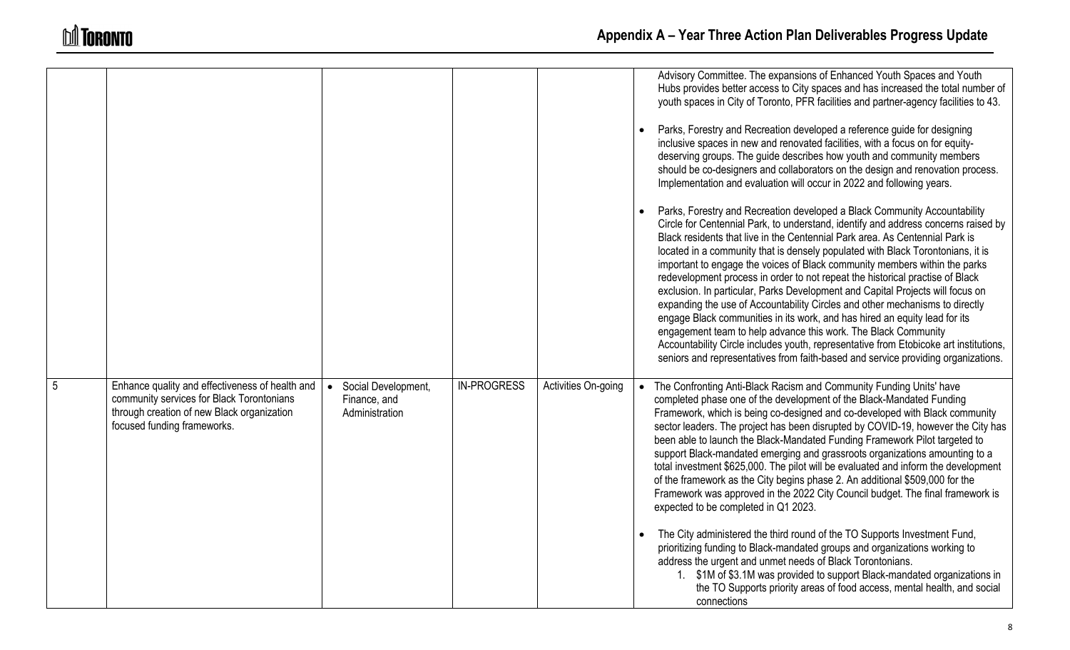|                 |                                                                                                                                                                           |                                                                    |                    |                     | Advisory Committee. The expansions of Enhanced Youth Spaces and Youth<br>Hubs provides better access to City spaces and has increased the total number of<br>youth spaces in City of Toronto, PFR facilities and partner-agency facilities to 43.                                                                                                                                                                                                                                                                                                                                                                                                                                                                                                                                                                                                                                                                                                                                                 |
|-----------------|---------------------------------------------------------------------------------------------------------------------------------------------------------------------------|--------------------------------------------------------------------|--------------------|---------------------|---------------------------------------------------------------------------------------------------------------------------------------------------------------------------------------------------------------------------------------------------------------------------------------------------------------------------------------------------------------------------------------------------------------------------------------------------------------------------------------------------------------------------------------------------------------------------------------------------------------------------------------------------------------------------------------------------------------------------------------------------------------------------------------------------------------------------------------------------------------------------------------------------------------------------------------------------------------------------------------------------|
|                 |                                                                                                                                                                           |                                                                    |                    |                     | Parks, Forestry and Recreation developed a reference guide for designing<br>inclusive spaces in new and renovated facilities, with a focus on for equity-<br>deserving groups. The guide describes how youth and community members<br>should be co-designers and collaborators on the design and renovation process.<br>Implementation and evaluation will occur in 2022 and following years.                                                                                                                                                                                                                                                                                                                                                                                                                                                                                                                                                                                                     |
|                 |                                                                                                                                                                           |                                                                    |                    |                     | Parks, Forestry and Recreation developed a Black Community Accountability<br>Circle for Centennial Park, to understand, identify and address concerns raised by<br>Black residents that live in the Centennial Park area. As Centennial Park is<br>located in a community that is densely populated with Black Torontonians, it is<br>important to engage the voices of Black community members within the parks<br>redevelopment process in order to not repeat the historical practise of Black<br>exclusion. In particular, Parks Development and Capital Projects will focus on<br>expanding the use of Accountability Circles and other mechanisms to directly<br>engage Black communities in its work, and has hired an equity lead for its<br>engagement team to help advance this work. The Black Community<br>Accountability Circle includes youth, representative from Etobicoke art institutions,<br>seniors and representatives from faith-based and service providing organizations. |
| $5\phantom{.0}$ | Enhance quality and effectiveness of health and<br>community services for Black Torontonians<br>through creation of new Black organization<br>focused funding frameworks. | Social Development,<br>$\bullet$<br>Finance, and<br>Administration | <b>IN-PROGRESS</b> | Activities On-going | • The Confronting Anti-Black Racism and Community Funding Units' have<br>completed phase one of the development of the Black-Mandated Funding<br>Framework, which is being co-designed and co-developed with Black community<br>sector leaders. The project has been disrupted by COVID-19, however the City has<br>been able to launch the Black-Mandated Funding Framework Pilot targeted to<br>support Black-mandated emerging and grassroots organizations amounting to a<br>total investment \$625,000. The pilot will be evaluated and inform the development<br>of the framework as the City begins phase 2. An additional \$509,000 for the<br>Framework was approved in the 2022 City Council budget. The final framework is<br>expected to be completed in Q1 2023.                                                                                                                                                                                                                     |
|                 |                                                                                                                                                                           |                                                                    |                    |                     | The City administered the third round of the TO Supports Investment Fund,<br>prioritizing funding to Black-mandated groups and organizations working to<br>address the urgent and unmet needs of Black Torontonians.<br>1. \$1M of \$3.1M was provided to support Black-mandated organizations in<br>the TO Supports priority areas of food access, mental health, and social<br>connections                                                                                                                                                                                                                                                                                                                                                                                                                                                                                                                                                                                                      |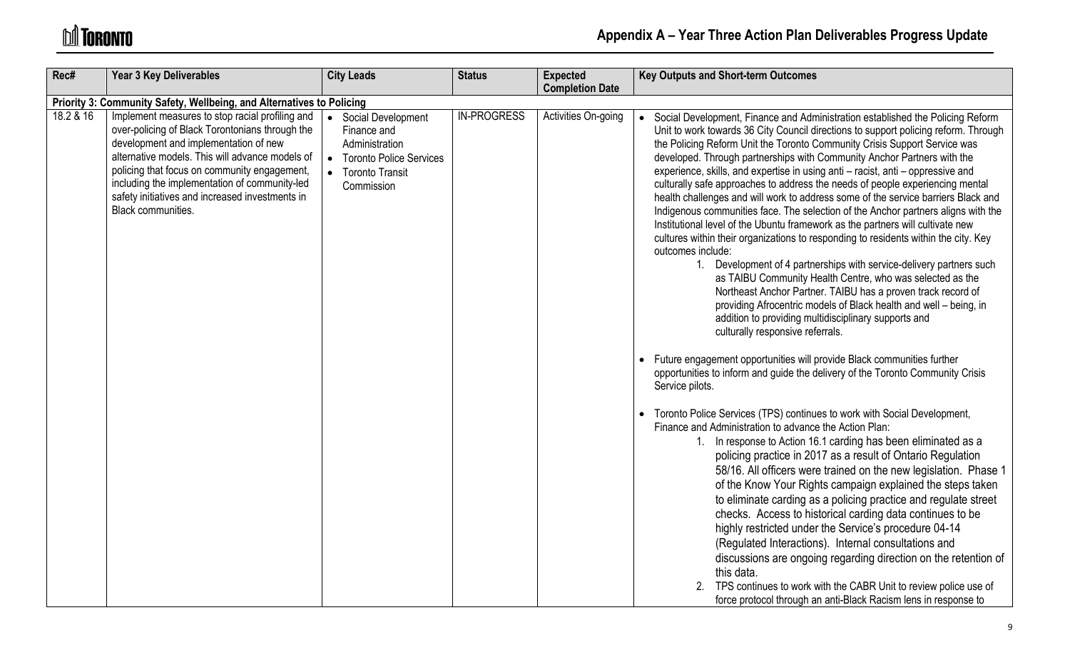# **M** TORONTO

| Rec#      | <b>Year 3 Key Deliverables</b>                                                                                                                                                                                                                                                                                                                                           | <b>City Leads</b>                                                                                                     | <b>Status</b>      | <b>Expected</b><br><b>Completion Date</b> | <b>Key Outputs and Short-term Outcomes</b>                                                                                                                                                                                                                                                                                                                                                                                                                                                                                                                                                                                                                                                                                                                                                                                                                                                                                                                                                                                                                                                                                                                                                                                                                                                                                                                                                                                                                                                                                                                                                                                                                                                                                                                                                                                                                                                                                                                                                                                                                                                                                                                                                                                                                                                                         |
|-----------|--------------------------------------------------------------------------------------------------------------------------------------------------------------------------------------------------------------------------------------------------------------------------------------------------------------------------------------------------------------------------|-----------------------------------------------------------------------------------------------------------------------|--------------------|-------------------------------------------|--------------------------------------------------------------------------------------------------------------------------------------------------------------------------------------------------------------------------------------------------------------------------------------------------------------------------------------------------------------------------------------------------------------------------------------------------------------------------------------------------------------------------------------------------------------------------------------------------------------------------------------------------------------------------------------------------------------------------------------------------------------------------------------------------------------------------------------------------------------------------------------------------------------------------------------------------------------------------------------------------------------------------------------------------------------------------------------------------------------------------------------------------------------------------------------------------------------------------------------------------------------------------------------------------------------------------------------------------------------------------------------------------------------------------------------------------------------------------------------------------------------------------------------------------------------------------------------------------------------------------------------------------------------------------------------------------------------------------------------------------------------------------------------------------------------------------------------------------------------------------------------------------------------------------------------------------------------------------------------------------------------------------------------------------------------------------------------------------------------------------------------------------------------------------------------------------------------------------------------------------------------------------------------------------------------------|
|           | Priority 3: Community Safety, Wellbeing, and Alternatives to Policing                                                                                                                                                                                                                                                                                                    |                                                                                                                       |                    |                                           |                                                                                                                                                                                                                                                                                                                                                                                                                                                                                                                                                                                                                                                                                                                                                                                                                                                                                                                                                                                                                                                                                                                                                                                                                                                                                                                                                                                                                                                                                                                                                                                                                                                                                                                                                                                                                                                                                                                                                                                                                                                                                                                                                                                                                                                                                                                    |
| 18.2 & 16 | Implement measures to stop racial profiling and<br>over-policing of Black Torontonians through the<br>development and implementation of new<br>alternative models. This will advance models of<br>policing that focus on community engagement,<br>including the implementation of community-led<br>safety initiatives and increased investments in<br>Black communities. | • Social Development<br>Finance and<br>Administration<br>• Toronto Police Services<br>• Toronto Transit<br>Commission | <b>IN-PROGRESS</b> | Activities On-going                       | Social Development, Finance and Administration established the Policing Reform<br>Unit to work towards 36 City Council directions to support policing reform. Through<br>the Policing Reform Unit the Toronto Community Crisis Support Service was<br>developed. Through partnerships with Community Anchor Partners with the<br>experience, skills, and expertise in using anti - racist, anti - oppressive and<br>culturally safe approaches to address the needs of people experiencing mental<br>health challenges and will work to address some of the service barriers Black and<br>Indigenous communities face. The selection of the Anchor partners aligns with the<br>Institutional level of the Ubuntu framework as the partners will cultivate new<br>cultures within their organizations to responding to residents within the city. Key<br>outcomes include:<br>1. Development of 4 partnerships with service-delivery partners such<br>as TAIBU Community Health Centre, who was selected as the<br>Northeast Anchor Partner. TAIBU has a proven track record of<br>providing Afrocentric models of Black health and well - being, in<br>addition to providing multidisciplinary supports and<br>culturally responsive referrals.<br>Future engagement opportunities will provide Black communities further<br>opportunities to inform and guide the delivery of the Toronto Community Crisis<br>Service pilots.<br>• Toronto Police Services (TPS) continues to work with Social Development,<br>Finance and Administration to advance the Action Plan:<br>1. In response to Action 16.1 carding has been eliminated as a<br>policing practice in 2017 as a result of Ontario Regulation<br>58/16. All officers were trained on the new legislation. Phase 1<br>of the Know Your Rights campaign explained the steps taken<br>to eliminate carding as a policing practice and regulate street<br>checks. Access to historical carding data continues to be<br>highly restricted under the Service's procedure 04-14<br>(Regulated Interactions). Internal consultations and<br>discussions are ongoing regarding direction on the retention of<br>this data.<br>TPS continues to work with the CABR Unit to review police use of<br>force protocol through an anti-Black Racism lens in response to |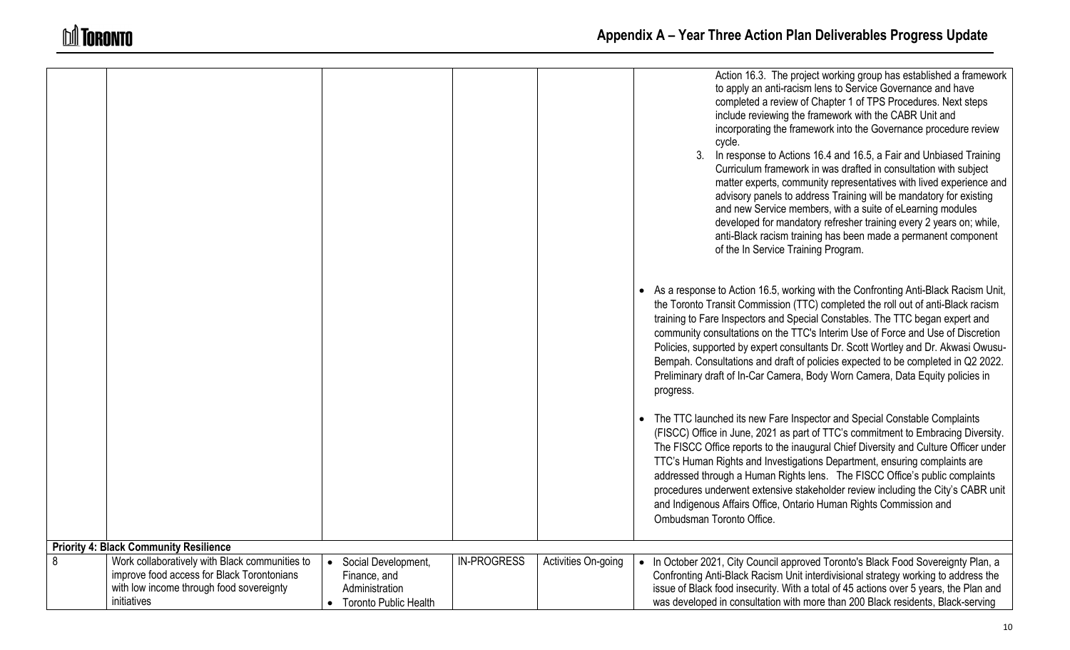|   |                                                |                                  |                    |                     | Action 16.3. The project working group has established a framework<br>to apply an anti-racism lens to Service Governance and have<br>completed a review of Chapter 1 of TPS Procedures. Next steps<br>include reviewing the framework with the CABR Unit and<br>incorporating the framework into the Governance procedure review<br>cycle.<br>3 <sub>1</sub><br>In response to Actions 16.4 and 16.5, a Fair and Unbiased Training<br>Curriculum framework in was drafted in consultation with subject<br>matter experts, community representatives with lived experience and<br>advisory panels to address Training will be mandatory for existing<br>and new Service members, with a suite of eLearning modules<br>developed for mandatory refresher training every 2 years on; while,<br>anti-Black racism training has been made a permanent component<br>of the In Service Training Program.<br>As a response to Action 16.5, working with the Confronting Anti-Black Racism Unit,<br>the Toronto Transit Commission (TTC) completed the roll out of anti-Black racism<br>training to Fare Inspectors and Special Constables. The TTC began expert and<br>community consultations on the TTC's Interim Use of Force and Use of Discretion<br>Policies, supported by expert consultants Dr. Scott Wortley and Dr. Akwasi Owusu-<br>Bempah. Consultations and draft of policies expected to be completed in Q2 2022.<br>Preliminary draft of In-Car Camera, Body Worn Camera, Data Equity policies in<br>progress.<br>• The TTC launched its new Fare Inspector and Special Constable Complaints<br>(FISCC) Office in June, 2021 as part of TTC's commitment to Embracing Diversity.<br>The FISCC Office reports to the inaugural Chief Diversity and Culture Officer under<br>TTC's Human Rights and Investigations Department, ensuring complaints are<br>addressed through a Human Rights lens. The FISCC Office's public complaints<br>procedures underwent extensive stakeholder review including the City's CABR unit<br>and Indigenous Affairs Office, Ontario Human Rights Commission and<br>Ombudsman Toronto Office. |
|---|------------------------------------------------|----------------------------------|--------------------|---------------------|-----------------------------------------------------------------------------------------------------------------------------------------------------------------------------------------------------------------------------------------------------------------------------------------------------------------------------------------------------------------------------------------------------------------------------------------------------------------------------------------------------------------------------------------------------------------------------------------------------------------------------------------------------------------------------------------------------------------------------------------------------------------------------------------------------------------------------------------------------------------------------------------------------------------------------------------------------------------------------------------------------------------------------------------------------------------------------------------------------------------------------------------------------------------------------------------------------------------------------------------------------------------------------------------------------------------------------------------------------------------------------------------------------------------------------------------------------------------------------------------------------------------------------------------------------------------------------------------------------------------------------------------------------------------------------------------------------------------------------------------------------------------------------------------------------------------------------------------------------------------------------------------------------------------------------------------------------------------------------------------------------------------------------------------------------------------------------------------------------------------------------------|
|   |                                                |                                  |                    |                     |                                                                                                                                                                                                                                                                                                                                                                                                                                                                                                                                                                                                                                                                                                                                                                                                                                                                                                                                                                                                                                                                                                                                                                                                                                                                                                                                                                                                                                                                                                                                                                                                                                                                                                                                                                                                                                                                                                                                                                                                                                                                                                                                   |
|   | <b>Priority 4: Black Community Resilience</b>  |                                  |                    |                     |                                                                                                                                                                                                                                                                                                                                                                                                                                                                                                                                                                                                                                                                                                                                                                                                                                                                                                                                                                                                                                                                                                                                                                                                                                                                                                                                                                                                                                                                                                                                                                                                                                                                                                                                                                                                                                                                                                                                                                                                                                                                                                                                   |
| 8 | Work collaboratively with Black communities to | Social Development,<br>$\bullet$ | <b>IN-PROGRESS</b> | Activities On-going | • In October 2021, City Council approved Toronto's Black Food Sovereignty Plan, a                                                                                                                                                                                                                                                                                                                                                                                                                                                                                                                                                                                                                                                                                                                                                                                                                                                                                                                                                                                                                                                                                                                                                                                                                                                                                                                                                                                                                                                                                                                                                                                                                                                                                                                                                                                                                                                                                                                                                                                                                                                 |
|   | improve food access for Black Torontonians     | Finance, and                     |                    |                     | Confronting Anti-Black Racism Unit interdivisional strategy working to address the                                                                                                                                                                                                                                                                                                                                                                                                                                                                                                                                                                                                                                                                                                                                                                                                                                                                                                                                                                                                                                                                                                                                                                                                                                                                                                                                                                                                                                                                                                                                                                                                                                                                                                                                                                                                                                                                                                                                                                                                                                                |
|   | with low income through food sovereignty       | Administration                   |                    |                     | issue of Black food insecurity. With a total of 45 actions over 5 years, the Plan and                                                                                                                                                                                                                                                                                                                                                                                                                                                                                                                                                                                                                                                                                                                                                                                                                                                                                                                                                                                                                                                                                                                                                                                                                                                                                                                                                                                                                                                                                                                                                                                                                                                                                                                                                                                                                                                                                                                                                                                                                                             |
|   | initiatives                                    | <b>Toronto Public Health</b>     |                    |                     | was developed in consultation with more than 200 Black residents, Black-serving                                                                                                                                                                                                                                                                                                                                                                                                                                                                                                                                                                                                                                                                                                                                                                                                                                                                                                                                                                                                                                                                                                                                                                                                                                                                                                                                                                                                                                                                                                                                                                                                                                                                                                                                                                                                                                                                                                                                                                                                                                                   |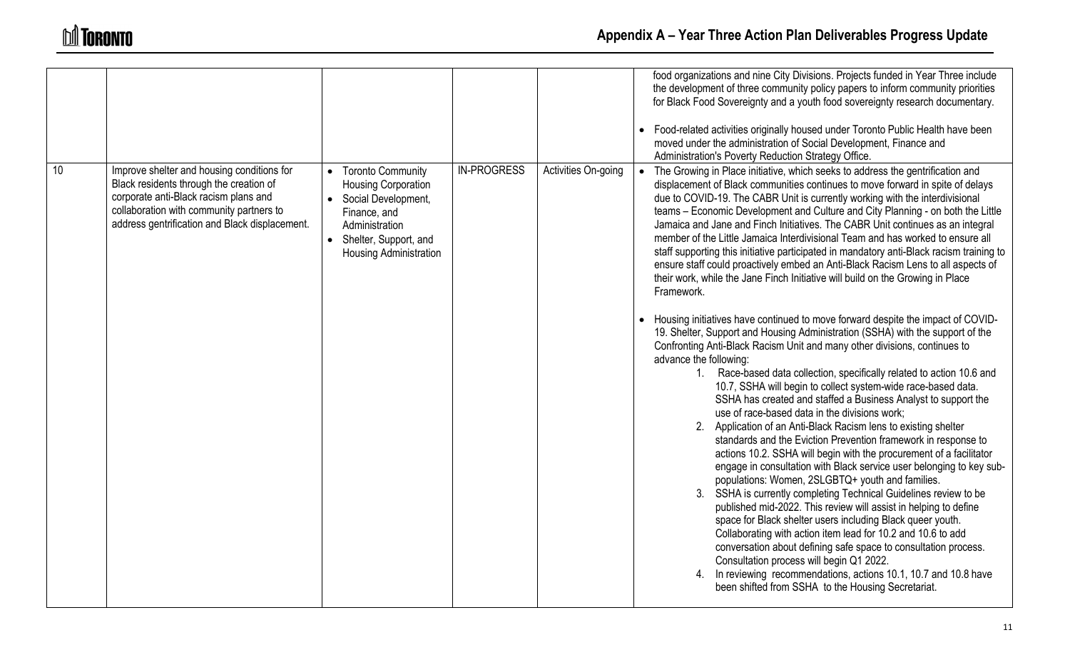|    |                                                                                                                                                                                                                              |                                                                                                                                                                   |                    |                     | food organizations and nine City Divisions. Projects funded in Year Three include<br>the development of three community policy papers to inform community priorities<br>for Black Food Sovereignty and a youth food sovereignty research documentary.                                                                                                                                                                                                                                                                                                                                                                                                                                                                                                                                                                                                                                                                                                                                                                                                                                                                                                                                                                                                                                                                                                                                                                                                                                                                                                                                                                                                                                                                                                                                                                                                                                                                                                                                                                                                               |
|----|------------------------------------------------------------------------------------------------------------------------------------------------------------------------------------------------------------------------------|-------------------------------------------------------------------------------------------------------------------------------------------------------------------|--------------------|---------------------|---------------------------------------------------------------------------------------------------------------------------------------------------------------------------------------------------------------------------------------------------------------------------------------------------------------------------------------------------------------------------------------------------------------------------------------------------------------------------------------------------------------------------------------------------------------------------------------------------------------------------------------------------------------------------------------------------------------------------------------------------------------------------------------------------------------------------------------------------------------------------------------------------------------------------------------------------------------------------------------------------------------------------------------------------------------------------------------------------------------------------------------------------------------------------------------------------------------------------------------------------------------------------------------------------------------------------------------------------------------------------------------------------------------------------------------------------------------------------------------------------------------------------------------------------------------------------------------------------------------------------------------------------------------------------------------------------------------------------------------------------------------------------------------------------------------------------------------------------------------------------------------------------------------------------------------------------------------------------------------------------------------------------------------------------------------------|
|    |                                                                                                                                                                                                                              |                                                                                                                                                                   |                    |                     | • Food-related activities originally housed under Toronto Public Health have been<br>moved under the administration of Social Development, Finance and<br>Administration's Poverty Reduction Strategy Office.                                                                                                                                                                                                                                                                                                                                                                                                                                                                                                                                                                                                                                                                                                                                                                                                                                                                                                                                                                                                                                                                                                                                                                                                                                                                                                                                                                                                                                                                                                                                                                                                                                                                                                                                                                                                                                                       |
| 10 | Improve shelter and housing conditions for<br>Black residents through the creation of<br>corporate anti-Black racism plans and<br>collaboration with community partners to<br>address gentrification and Black displacement. | • Toronto Community<br>Housing Corporation<br>• Social Development,<br>Finance, and<br>Administration<br>• Shelter, Support, and<br><b>Housing Administration</b> | <b>IN-PROGRESS</b> | Activities On-going | • The Growing in Place initiative, which seeks to address the gentrification and<br>displacement of Black communities continues to move forward in spite of delays<br>due to COVID-19. The CABR Unit is currently working with the interdivisional<br>teams - Economic Development and Culture and City Planning - on both the Little<br>Jamaica and Jane and Finch Initiatives. The CABR Unit continues as an integral<br>member of the Little Jamaica Interdivisional Team and has worked to ensure all<br>staff supporting this initiative participated in mandatory anti-Black racism training to<br>ensure staff could proactively embed an Anti-Black Racism Lens to all aspects of<br>their work, while the Jane Finch Initiative will build on the Growing in Place<br>Framework.<br>• Housing initiatives have continued to move forward despite the impact of COVID-<br>19. Shelter, Support and Housing Administration (SSHA) with the support of the<br>Confronting Anti-Black Racism Unit and many other divisions, continues to<br>advance the following:<br>1. Race-based data collection, specifically related to action 10.6 and<br>10.7, SSHA will begin to collect system-wide race-based data.<br>SSHA has created and staffed a Business Analyst to support the<br>use of race-based data in the divisions work;<br>2. Application of an Anti-Black Racism lens to existing shelter<br>standards and the Eviction Prevention framework in response to<br>actions 10.2. SSHA will begin with the procurement of a facilitator<br>engage in consultation with Black service user belonging to key sub-<br>populations: Women, 2SLGBTQ+ youth and families.<br>3. SSHA is currently completing Technical Guidelines review to be<br>published mid-2022. This review will assist in helping to define<br>space for Black shelter users including Black queer youth.<br>Collaborating with action item lead for 10.2 and 10.6 to add<br>conversation about defining safe space to consultation process.<br>Consultation process will begin Q1 2022. |
|    |                                                                                                                                                                                                                              |                                                                                                                                                                   |                    |                     | 4. In reviewing recommendations, actions 10.1, 10.7 and 10.8 have<br>been shifted from SSHA to the Housing Secretariat.                                                                                                                                                                                                                                                                                                                                                                                                                                                                                                                                                                                                                                                                                                                                                                                                                                                                                                                                                                                                                                                                                                                                                                                                                                                                                                                                                                                                                                                                                                                                                                                                                                                                                                                                                                                                                                                                                                                                             |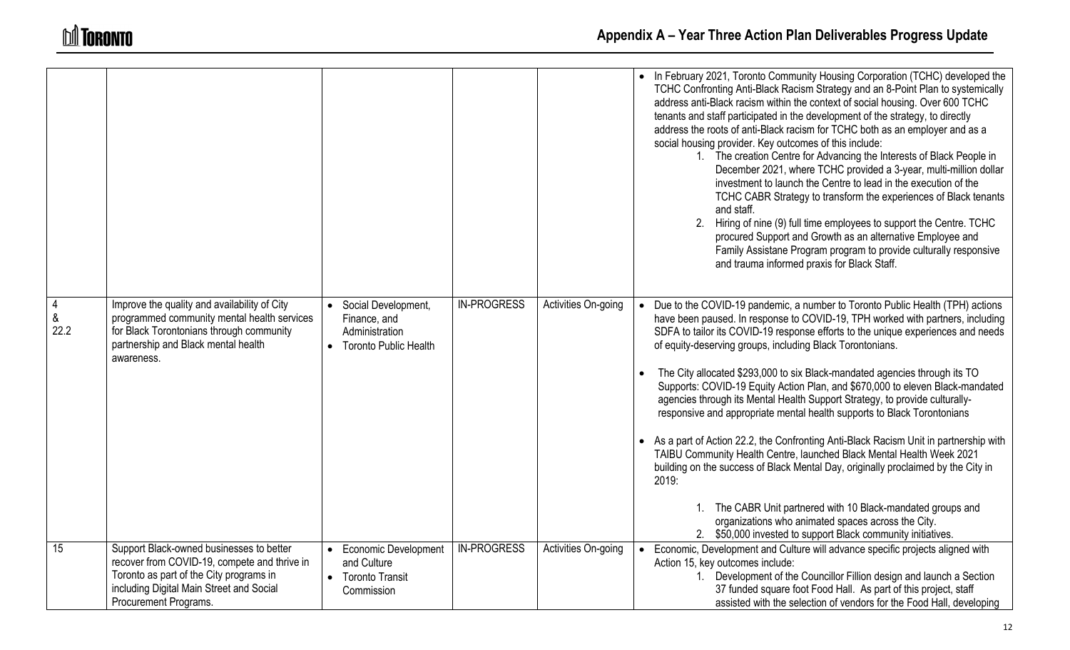|                             |                                                                                                                                                                                                          |                                                                                    |                    |                     | • In February 2021, Toronto Community Housing Corporation (TCHC) developed the<br>TCHC Confronting Anti-Black Racism Strategy and an 8-Point Plan to systemically<br>address anti-Black racism within the context of social housing. Over 600 TCHC<br>tenants and staff participated in the development of the strategy, to directly<br>address the roots of anti-Black racism for TCHC both as an employer and as a<br>social housing provider. Key outcomes of this include:<br>1. The creation Centre for Advancing the Interests of Black People in<br>December 2021, where TCHC provided a 3-year, multi-million dollar<br>investment to launch the Centre to lead in the execution of the<br>TCHC CABR Strategy to transform the experiences of Black tenants<br>and staff.<br>2.<br>Hiring of nine (9) full time employees to support the Centre. TCHC<br>procured Support and Growth as an alternative Employee and<br>Family Assistane Program program to provide culturally responsive<br>and trauma informed praxis for Black Staff.                                                    |
|-----------------------------|----------------------------------------------------------------------------------------------------------------------------------------------------------------------------------------------------------|------------------------------------------------------------------------------------|--------------------|---------------------|----------------------------------------------------------------------------------------------------------------------------------------------------------------------------------------------------------------------------------------------------------------------------------------------------------------------------------------------------------------------------------------------------------------------------------------------------------------------------------------------------------------------------------------------------------------------------------------------------------------------------------------------------------------------------------------------------------------------------------------------------------------------------------------------------------------------------------------------------------------------------------------------------------------------------------------------------------------------------------------------------------------------------------------------------------------------------------------------------|
| $\overline{4}$<br>&<br>22.2 | Improve the quality and availability of City<br>programmed community mental health services<br>for Black Torontonians through community<br>partnership and Black mental health<br>awareness.             | Social Development,<br>Finance, and<br>Administration<br>• Toronto Public Health   | <b>IN-PROGRESS</b> | Activities On-going | • Due to the COVID-19 pandemic, a number to Toronto Public Health (TPH) actions<br>have been paused. In response to COVID-19, TPH worked with partners, including<br>SDFA to tailor its COVID-19 response efforts to the unique experiences and needs<br>of equity-deserving groups, including Black Torontonians.<br>The City allocated \$293,000 to six Black-mandated agencies through its TO<br>Supports: COVID-19 Equity Action Plan, and \$670,000 to eleven Black-mandated<br>agencies through its Mental Health Support Strategy, to provide culturally-<br>responsive and appropriate mental health supports to Black Torontonians<br>• As a part of Action 22.2, the Confronting Anti-Black Racism Unit in partnership with<br>TAIBU Community Health Centre, launched Black Mental Health Week 2021<br>building on the success of Black Mental Day, originally proclaimed by the City in<br>2019:<br>1. The CABR Unit partnered with 10 Black-mandated groups and<br>organizations who animated spaces across the City.<br>2. \$50,000 invested to support Black community initiatives. |
| 15                          | Support Black-owned businesses to better<br>recover from COVID-19, compete and thrive in<br>Toronto as part of the City programs in<br>including Digital Main Street and Social<br>Procurement Programs. | <b>Economic Development</b><br>and Culture<br><b>Toronto Transit</b><br>Commission | <b>IN-PROGRESS</b> | Activities On-going | Economic, Development and Culture will advance specific projects aligned with<br>Action 15, key outcomes include:<br>1. Development of the Councillor Fillion design and launch a Section<br>37 funded square foot Food Hall. As part of this project, staff<br>assisted with the selection of vendors for the Food Hall, developing                                                                                                                                                                                                                                                                                                                                                                                                                                                                                                                                                                                                                                                                                                                                                               |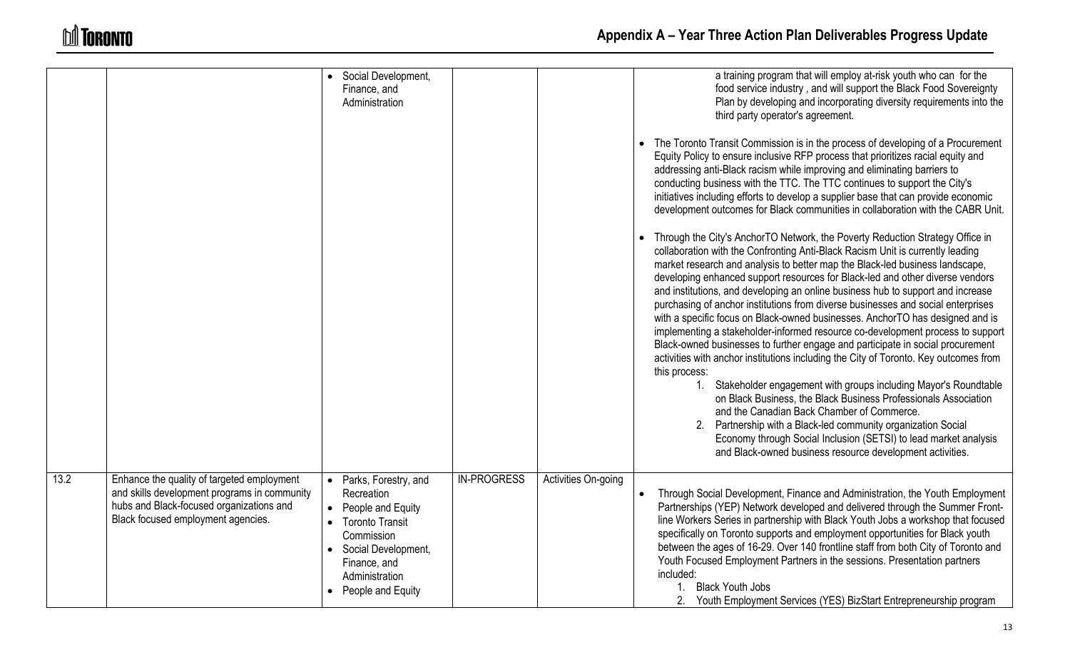|      |                                                                                                                                                                              | Social Development,<br>Finance, and<br>Administration                                                                                                                           |                    |                     | a training program that will employ at-risk youth who can for the<br>food service industry, and will support the Black Food Sovereignty<br>Plan by developing and incorporating diversity requirements into the<br>third party operator's agreement.<br>The Toronto Transit Commission is in the process of developing of a Procurement                                                                                                                                                                                                                                                                                                                                                                                                                                                                                                                                                                                                                                                                                                                                                                                                                                                                                                                       |
|------|------------------------------------------------------------------------------------------------------------------------------------------------------------------------------|---------------------------------------------------------------------------------------------------------------------------------------------------------------------------------|--------------------|---------------------|---------------------------------------------------------------------------------------------------------------------------------------------------------------------------------------------------------------------------------------------------------------------------------------------------------------------------------------------------------------------------------------------------------------------------------------------------------------------------------------------------------------------------------------------------------------------------------------------------------------------------------------------------------------------------------------------------------------------------------------------------------------------------------------------------------------------------------------------------------------------------------------------------------------------------------------------------------------------------------------------------------------------------------------------------------------------------------------------------------------------------------------------------------------------------------------------------------------------------------------------------------------|
|      |                                                                                                                                                                              |                                                                                                                                                                                 |                    |                     | Equity Policy to ensure inclusive RFP process that prioritizes racial equity and<br>addressing anti-Black racism while improving and eliminating barriers to<br>conducting business with the TTC. The TTC continues to support the City's<br>initiatives including efforts to develop a supplier base that can provide economic<br>development outcomes for Black communities in collaboration with the CABR Unit.                                                                                                                                                                                                                                                                                                                                                                                                                                                                                                                                                                                                                                                                                                                                                                                                                                            |
|      |                                                                                                                                                                              |                                                                                                                                                                                 |                    |                     | • Through the City's AnchorTO Network, the Poverty Reduction Strategy Office in<br>collaboration with the Confronting Anti-Black Racism Unit is currently leading<br>market research and analysis to better map the Black-led business landscape,<br>developing enhanced support resources for Black-led and other diverse vendors<br>and institutions, and developing an online business hub to support and increase<br>purchasing of anchor institutions from diverse businesses and social enterprises<br>with a specific focus on Black-owned businesses. AnchorTO has designed and is<br>implementing a stakeholder-informed resource co-development process to support<br>Black-owned businesses to further engage and participate in social procurement<br>activities with anchor institutions including the City of Toronto. Key outcomes from<br>this process:<br>1. Stakeholder engagement with groups including Mayor's Roundtable<br>on Black Business, the Black Business Professionals Association<br>and the Canadian Back Chamber of Commerce.<br>Partnership with a Black-led community organization Social<br>Economy through Social Inclusion (SETSI) to lead market analysis<br>and Black-owned business resource development activities. |
| 13.2 | Enhance the quality of targeted employment<br>and skills development programs in community<br>hubs and Black-focused organizations and<br>Black focused employment agencies. | Parks, Forestry, and<br>Recreation<br>People and Equity<br><b>Toronto Transit</b><br>Commission<br>Social Development,<br>Finance, and<br>Administration<br>• People and Equity | <b>IN-PROGRESS</b> | Activities On-going | Through Social Development, Finance and Administration, the Youth Employment<br>Partnerships (YEP) Network developed and delivered through the Summer Front-<br>line Workers Series in partnership with Black Youth Jobs a workshop that focused<br>specifically on Toronto supports and employment opportunities for Black youth<br>between the ages of 16-29. Over 140 frontline staff from both City of Toronto and<br>Youth Focused Employment Partners in the sessions. Presentation partners<br>included:<br>1. Black Youth Jobs<br>2. Youth Employment Services (YES) BizStart Entrepreneurship program                                                                                                                                                                                                                                                                                                                                                                                                                                                                                                                                                                                                                                                |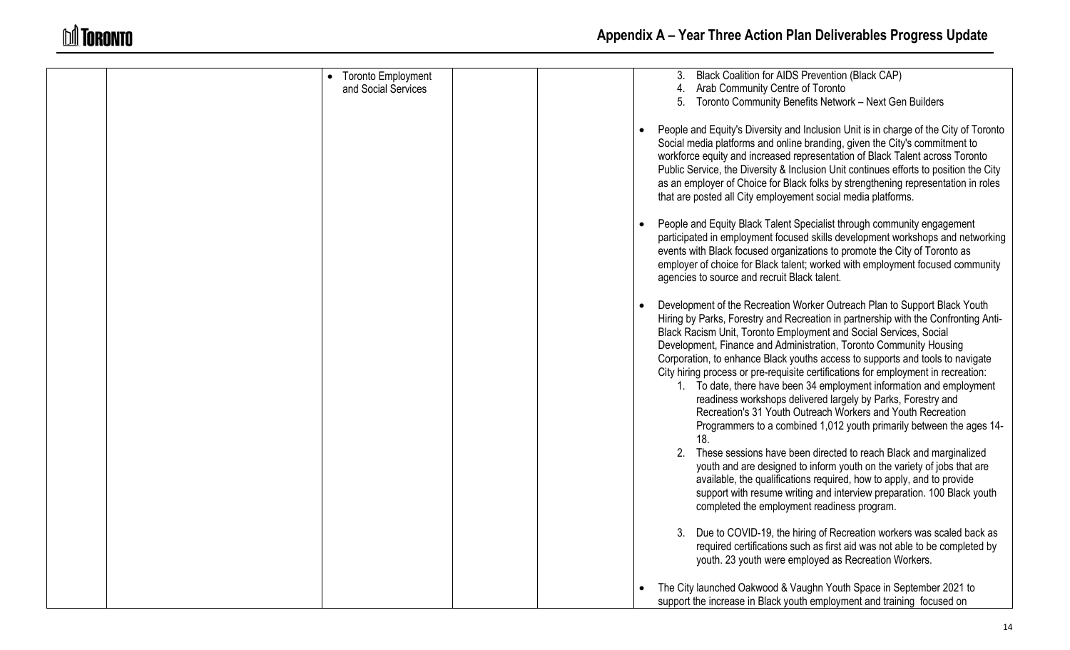| <b>Toronto Employment</b> | Black Coalition for AIDS Prevention (Black CAP)                                                                                                                                                                                                                                                                                                                                                                                                                                                                                                                                                                                                                                                                                                                                                                                                                                                                                                                                                                                                                                                                           |
|---------------------------|---------------------------------------------------------------------------------------------------------------------------------------------------------------------------------------------------------------------------------------------------------------------------------------------------------------------------------------------------------------------------------------------------------------------------------------------------------------------------------------------------------------------------------------------------------------------------------------------------------------------------------------------------------------------------------------------------------------------------------------------------------------------------------------------------------------------------------------------------------------------------------------------------------------------------------------------------------------------------------------------------------------------------------------------------------------------------------------------------------------------------|
| and Social Services       | 4. Arab Community Centre of Toronto                                                                                                                                                                                                                                                                                                                                                                                                                                                                                                                                                                                                                                                                                                                                                                                                                                                                                                                                                                                                                                                                                       |
|                           | 5. Toronto Community Benefits Network - Next Gen Builders                                                                                                                                                                                                                                                                                                                                                                                                                                                                                                                                                                                                                                                                                                                                                                                                                                                                                                                                                                                                                                                                 |
|                           | People and Equity's Diversity and Inclusion Unit is in charge of the City of Toronto<br>Social media platforms and online branding, given the City's commitment to<br>workforce equity and increased representation of Black Talent across Toronto<br>Public Service, the Diversity & Inclusion Unit continues efforts to position the City<br>as an employer of Choice for Black folks by strengthening representation in roles<br>that are posted all City employement social media platforms.<br>People and Equity Black Talent Specialist through community engagement<br>participated in employment focused skills development workshops and networking<br>events with Black focused organizations to promote the City of Toronto as<br>employer of choice for Black talent; worked with employment focused community                                                                                                                                                                                                                                                                                                |
|                           | agencies to source and recruit Black talent.                                                                                                                                                                                                                                                                                                                                                                                                                                                                                                                                                                                                                                                                                                                                                                                                                                                                                                                                                                                                                                                                              |
|                           | Development of the Recreation Worker Outreach Plan to Support Black Youth<br>Hiring by Parks, Forestry and Recreation in partnership with the Confronting Anti-<br>Black Racism Unit, Toronto Employment and Social Services, Social<br>Development, Finance and Administration, Toronto Community Housing<br>Corporation, to enhance Black youths access to supports and tools to navigate<br>City hiring process or pre-requisite certifications for employment in recreation:<br>1. To date, there have been 34 employment information and employment<br>readiness workshops delivered largely by Parks, Forestry and<br>Recreation's 31 Youth Outreach Workers and Youth Recreation<br>Programmers to a combined 1,012 youth primarily between the ages 14-<br>18.<br>2. These sessions have been directed to reach Black and marginalized<br>youth and are designed to inform youth on the variety of jobs that are<br>available, the qualifications required, how to apply, and to provide<br>support with resume writing and interview preparation. 100 Black youth<br>completed the employment readiness program. |
|                           | Due to COVID-19, the hiring of Recreation workers was scaled back as<br>required certifications such as first aid was not able to be completed by<br>youth. 23 youth were employed as Recreation Workers.                                                                                                                                                                                                                                                                                                                                                                                                                                                                                                                                                                                                                                                                                                                                                                                                                                                                                                                 |
|                           | The City launched Oakwood & Vaughn Youth Space in September 2021 to<br>support the increase in Black youth employment and training focused on                                                                                                                                                                                                                                                                                                                                                                                                                                                                                                                                                                                                                                                                                                                                                                                                                                                                                                                                                                             |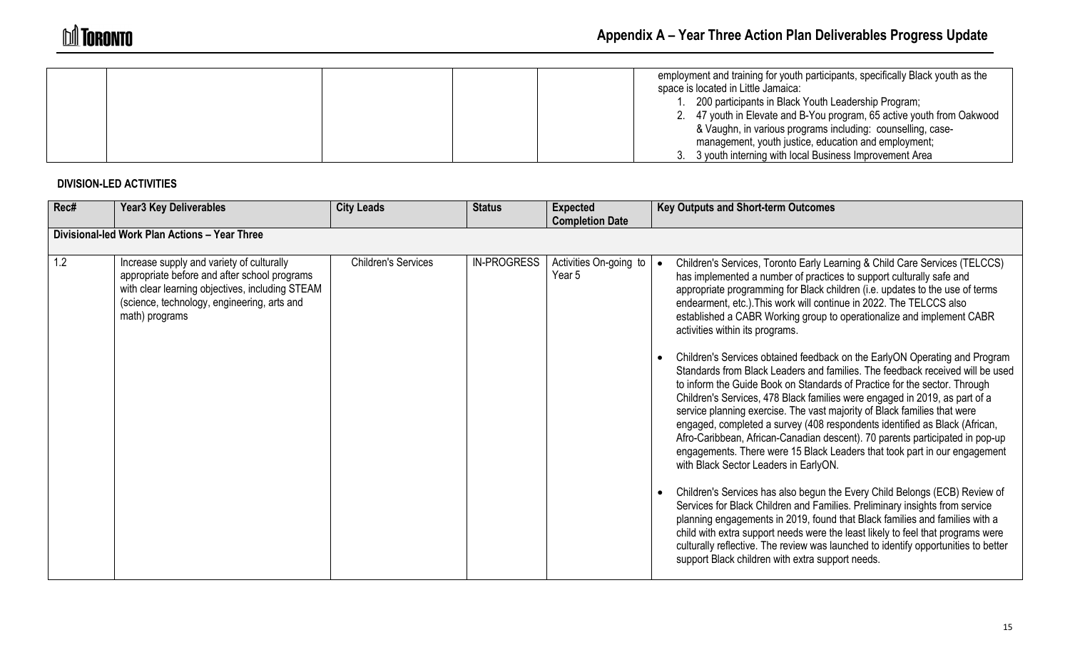|  | employment and training for youth participants, specifically Black youth as the |
|--|---------------------------------------------------------------------------------|
|  | space is located in Little Jamaica:                                             |
|  | 200 participants in Black Youth Leadership Program;                             |
|  | 2. 47 youth in Elevate and B-You program, 65 active youth from Oakwood          |
|  | & Vaughn, in various programs including: counselling, case-                     |
|  | management, youth justice, education and employment;                            |
|  | 3. 3 youth interning with local Business Improvement Area                       |

## **DIVISION-LED ACTIVITIES**

| Rec# | <b>Year3 Key Deliverables</b>                                                                                                                                                                                 | <b>City Leads</b>          | <b>Status</b>      | <b>Expected</b><br><b>Completion Date</b> | <b>Key Outputs and Short-term Outcomes</b>                                                                                                                                                                                                                                                                                                                                                                                                                                                                                                                                                                                                                                                                                                                                                                                                                                                                                                                                                                                                                                                                                                                                                                                                                                                                                                                                                                                                                                                                                                                                               |
|------|---------------------------------------------------------------------------------------------------------------------------------------------------------------------------------------------------------------|----------------------------|--------------------|-------------------------------------------|------------------------------------------------------------------------------------------------------------------------------------------------------------------------------------------------------------------------------------------------------------------------------------------------------------------------------------------------------------------------------------------------------------------------------------------------------------------------------------------------------------------------------------------------------------------------------------------------------------------------------------------------------------------------------------------------------------------------------------------------------------------------------------------------------------------------------------------------------------------------------------------------------------------------------------------------------------------------------------------------------------------------------------------------------------------------------------------------------------------------------------------------------------------------------------------------------------------------------------------------------------------------------------------------------------------------------------------------------------------------------------------------------------------------------------------------------------------------------------------------------------------------------------------------------------------------------------------|
|      | Divisional-led Work Plan Actions - Year Three                                                                                                                                                                 |                            |                    |                                           |                                                                                                                                                                                                                                                                                                                                                                                                                                                                                                                                                                                                                                                                                                                                                                                                                                                                                                                                                                                                                                                                                                                                                                                                                                                                                                                                                                                                                                                                                                                                                                                          |
| 1.2  | Increase supply and variety of culturally<br>appropriate before and after school programs<br>with clear learning objectives, including STEAM<br>(science, technology, engineering, arts and<br>math) programs | <b>Children's Services</b> | <b>IN-PROGRESS</b> | Activities On-going to<br>Year 5          | Children's Services, Toronto Early Learning & Child Care Services (TELCCS)<br>has implemented a number of practices to support culturally safe and<br>appropriate programming for Black children (i.e. updates to the use of terms<br>endearment, etc.). This work will continue in 2022. The TELCCS also<br>established a CABR Working group to operationalize and implement CABR<br>activities within its programs.<br>Children's Services obtained feedback on the EarlyON Operating and Program<br>Standards from Black Leaders and families. The feedback received will be used<br>to inform the Guide Book on Standards of Practice for the sector. Through<br>Children's Services, 478 Black families were engaged in 2019, as part of a<br>service planning exercise. The vast majority of Black families that were<br>engaged, completed a survey (408 respondents identified as Black (African,<br>Afro-Caribbean, African-Canadian descent). 70 parents participated in pop-up<br>engagements. There were 15 Black Leaders that took part in our engagement<br>with Black Sector Leaders in EarlyON.<br>Children's Services has also begun the Every Child Belongs (ECB) Review of<br>Services for Black Children and Families. Preliminary insights from service<br>planning engagements in 2019, found that Black families and families with a<br>child with extra support needs were the least likely to feel that programs were<br>culturally reflective. The review was launched to identify opportunities to better<br>support Black children with extra support needs. |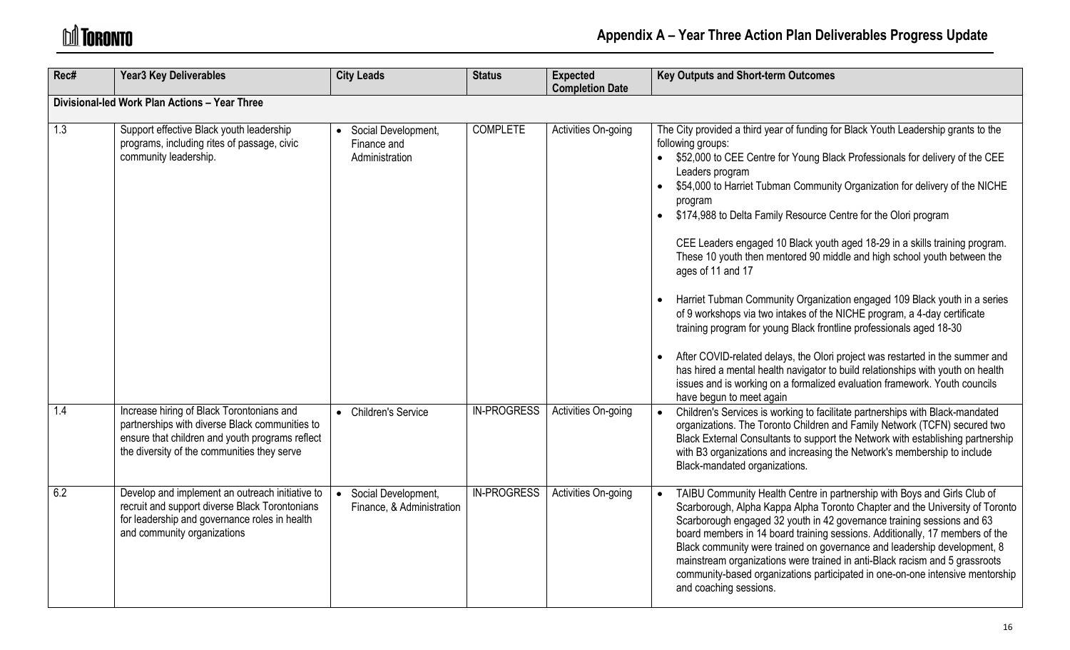| Rec# | <b>Year3 Key Deliverables</b>                                                                                                                                                                 | <b>City Leads</b>                                      | <b>Status</b>      | <b>Expected</b><br><b>Completion Date</b> | <b>Key Outputs and Short-term Outcomes</b>                                                                                                                                                                                                                                                                                                                                                                                                                                                                                                                                                                                                                                                                                                                                                                                                                                                                                                                                                                                                                            |
|------|-----------------------------------------------------------------------------------------------------------------------------------------------------------------------------------------------|--------------------------------------------------------|--------------------|-------------------------------------------|-----------------------------------------------------------------------------------------------------------------------------------------------------------------------------------------------------------------------------------------------------------------------------------------------------------------------------------------------------------------------------------------------------------------------------------------------------------------------------------------------------------------------------------------------------------------------------------------------------------------------------------------------------------------------------------------------------------------------------------------------------------------------------------------------------------------------------------------------------------------------------------------------------------------------------------------------------------------------------------------------------------------------------------------------------------------------|
|      | Divisional-led Work Plan Actions - Year Three                                                                                                                                                 |                                                        |                    |                                           |                                                                                                                                                                                                                                                                                                                                                                                                                                                                                                                                                                                                                                                                                                                                                                                                                                                                                                                                                                                                                                                                       |
| 1.3  | Support effective Black youth leadership<br>programs, including rites of passage, civic<br>community leadership.                                                                              | • Social Development,<br>Finance and<br>Administration | <b>COMPLETE</b>    | Activities On-going                       | The City provided a third year of funding for Black Youth Leadership grants to the<br>following groups:<br>\$52,000 to CEE Centre for Young Black Professionals for delivery of the CEE<br>Leaders program<br>\$54,000 to Harriet Tubman Community Organization for delivery of the NICHE<br>program<br>\$174,988 to Delta Family Resource Centre for the Olori program<br>CEE Leaders engaged 10 Black youth aged 18-29 in a skills training program.<br>These 10 youth then mentored 90 middle and high school youth between the<br>ages of 11 and 17<br>Harriet Tubman Community Organization engaged 109 Black youth in a series<br>of 9 workshops via two intakes of the NICHE program, a 4-day certificate<br>training program for young Black frontline professionals aged 18-30<br>After COVID-related delays, the Olori project was restarted in the summer and<br>has hired a mental health navigator to build relationships with youth on health<br>issues and is working on a formalized evaluation framework. Youth councils<br>have begun to meet again |
| 1.4  | Increase hiring of Black Torontonians and<br>partnerships with diverse Black communities to<br>ensure that children and youth programs reflect<br>the diversity of the communities they serve | • Children's Service                                   | <b>IN-PROGRESS</b> | Activities On-going                       | Children's Services is working to facilitate partnerships with Black-mandated<br>organizations. The Toronto Children and Family Network (TCFN) secured two<br>Black External Consultants to support the Network with establishing partnership<br>with B3 organizations and increasing the Network's membership to include<br>Black-mandated organizations.                                                                                                                                                                                                                                                                                                                                                                                                                                                                                                                                                                                                                                                                                                            |
| 6.2  | Develop and implement an outreach initiative to<br>recruit and support diverse Black Torontonians<br>for leadership and governance roles in health<br>and community organizations             | Social Development,<br>Finance, & Administration       | <b>IN-PROGRESS</b> | Activities On-going                       | TAIBU Community Health Centre in partnership with Boys and Girls Club of<br>Scarborough, Alpha Kappa Alpha Toronto Chapter and the University of Toronto<br>Scarborough engaged 32 youth in 42 governance training sessions and 63<br>board members in 14 board training sessions. Additionally, 17 members of the<br>Black community were trained on governance and leadership development, 8<br>mainstream organizations were trained in anti-Black racism and 5 grassroots<br>community-based organizations participated in one-on-one intensive mentorship<br>and coaching sessions.                                                                                                                                                                                                                                                                                                                                                                                                                                                                              |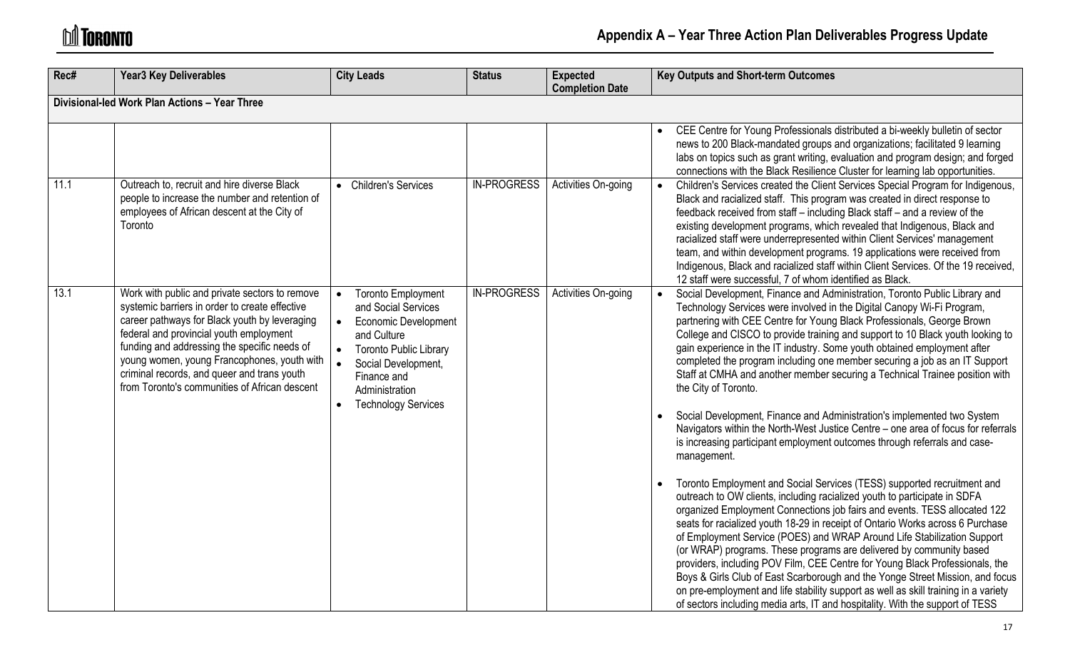# **M** TORONTO

| Rec# | <b>Year3 Key Deliverables</b>                                                                                                                                                                                                                                                                                                                                                               | <b>City Leads</b>                                                                                                                                                                                                                                                         | <b>Status</b>      | <b>Expected</b><br><b>Completion Date</b> | <b>Key Outputs and Short-term Outcomes</b>                                                                                                                                                                                                                                                                                                                                                                                                                                                                                                                                                                                                                                                                                                                                                                                                                                                                                                                                                                                                                                                                                                                                                                                                                                                                                                                                                                                                                                                                                                                                                                                                                      |  |  |
|------|---------------------------------------------------------------------------------------------------------------------------------------------------------------------------------------------------------------------------------------------------------------------------------------------------------------------------------------------------------------------------------------------|---------------------------------------------------------------------------------------------------------------------------------------------------------------------------------------------------------------------------------------------------------------------------|--------------------|-------------------------------------------|-----------------------------------------------------------------------------------------------------------------------------------------------------------------------------------------------------------------------------------------------------------------------------------------------------------------------------------------------------------------------------------------------------------------------------------------------------------------------------------------------------------------------------------------------------------------------------------------------------------------------------------------------------------------------------------------------------------------------------------------------------------------------------------------------------------------------------------------------------------------------------------------------------------------------------------------------------------------------------------------------------------------------------------------------------------------------------------------------------------------------------------------------------------------------------------------------------------------------------------------------------------------------------------------------------------------------------------------------------------------------------------------------------------------------------------------------------------------------------------------------------------------------------------------------------------------------------------------------------------------------------------------------------------------|--|--|
|      | Divisional-led Work Plan Actions - Year Three                                                                                                                                                                                                                                                                                                                                               |                                                                                                                                                                                                                                                                           |                    |                                           |                                                                                                                                                                                                                                                                                                                                                                                                                                                                                                                                                                                                                                                                                                                                                                                                                                                                                                                                                                                                                                                                                                                                                                                                                                                                                                                                                                                                                                                                                                                                                                                                                                                                 |  |  |
|      |                                                                                                                                                                                                                                                                                                                                                                                             |                                                                                                                                                                                                                                                                           |                    |                                           | CEE Centre for Young Professionals distributed a bi-weekly bulletin of sector<br>news to 200 Black-mandated groups and organizations; facilitated 9 learning<br>labs on topics such as grant writing, evaluation and program design; and forged<br>connections with the Black Resilience Cluster for learning lab opportunities.                                                                                                                                                                                                                                                                                                                                                                                                                                                                                                                                                                                                                                                                                                                                                                                                                                                                                                                                                                                                                                                                                                                                                                                                                                                                                                                                |  |  |
| 11.1 | Outreach to, recruit and hire diverse Black<br>people to increase the number and retention of<br>employees of African descent at the City of<br>Toronto                                                                                                                                                                                                                                     | • Children's Services                                                                                                                                                                                                                                                     | <b>IN-PROGRESS</b> | Activities On-going                       | Children's Services created the Client Services Special Program for Indigenous,<br>Black and racialized staff. This program was created in direct response to<br>feedback received from staff - including Black staff - and a review of the<br>existing development programs, which revealed that Indigenous, Black and<br>racialized staff were underrepresented within Client Services' management<br>team, and within development programs. 19 applications were received from<br>Indigenous, Black and racialized staff within Client Services. Of the 19 received,<br>12 staff were successful, 7 of whom identified as Black.                                                                                                                                                                                                                                                                                                                                                                                                                                                                                                                                                                                                                                                                                                                                                                                                                                                                                                                                                                                                                             |  |  |
| 13.1 | Work with public and private sectors to remove<br>systemic barriers in order to create effective<br>career pathways for Black youth by leveraging<br>federal and provincial youth employment<br>funding and addressing the specific needs of<br>young women, young Francophones, youth with<br>criminal records, and queer and trans youth<br>from Toronto's communities of African descent | <b>Toronto Employment</b><br>$\bullet$<br>and Social Services<br>$\bullet$<br><b>Economic Development</b><br>and Culture<br><b>Toronto Public Library</b><br>$\bullet$<br>Social Development,<br>Finance and<br>Administration<br><b>Technology Services</b><br>$\bullet$ | <b>IN-PROGRESS</b> | Activities On-going                       | Social Development, Finance and Administration, Toronto Public Library and<br>Technology Services were involved in the Digital Canopy Wi-Fi Program,<br>partnering with CEE Centre for Young Black Professionals, George Brown<br>College and CISCO to provide training and support to 10 Black youth looking to<br>gain experience in the IT industry. Some youth obtained employment after<br>completed the program including one member securing a job as an IT Support<br>Staff at CMHA and another member securing a Technical Trainee position with<br>the City of Toronto.<br>Social Development, Finance and Administration's implemented two System<br>Navigators within the North-West Justice Centre - one area of focus for referrals<br>is increasing participant employment outcomes through referrals and case-<br>management.<br>Toronto Employment and Social Services (TESS) supported recruitment and<br>outreach to OW clients, including racialized youth to participate in SDFA<br>organized Employment Connections job fairs and events. TESS allocated 122<br>seats for racialized youth 18-29 in receipt of Ontario Works across 6 Purchase<br>of Employment Service (POES) and WRAP Around Life Stabilization Support<br>(or WRAP) programs. These programs are delivered by community based<br>providers, including POV Film, CEE Centre for Young Black Professionals, the<br>Boys & Girls Club of East Scarborough and the Yonge Street Mission, and focus<br>on pre-employment and life stability support as well as skill training in a variety<br>of sectors including media arts, IT and hospitality. With the support of TESS |  |  |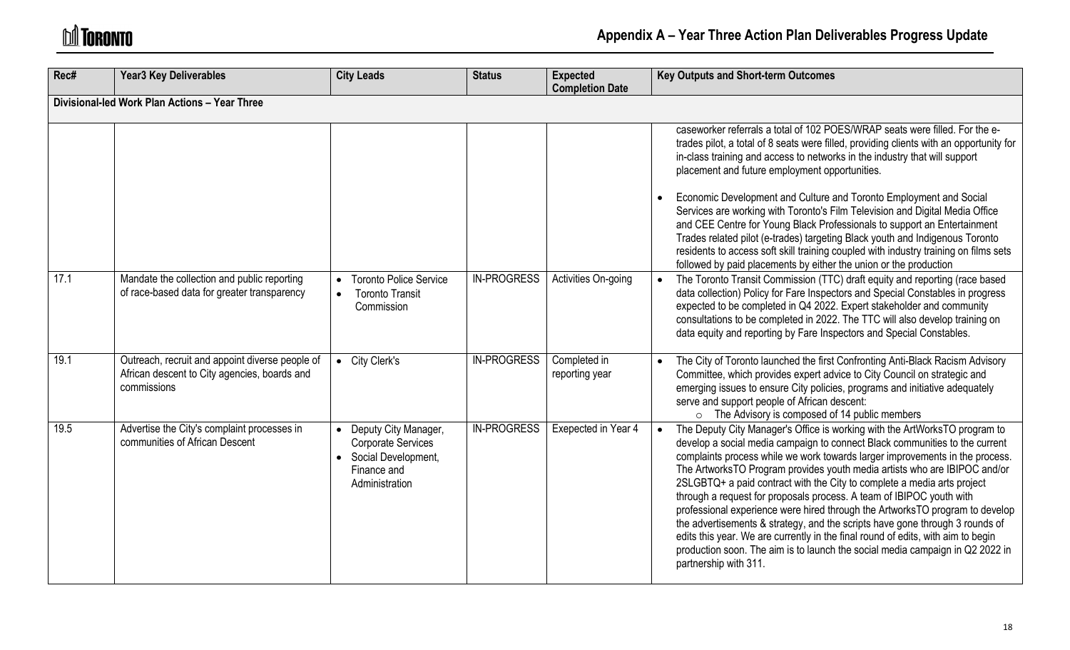| Rec# | <b>Year3 Key Deliverables</b>                                                                                  | <b>City Leads</b>                                                                                           | <b>Status</b>      | <b>Expected</b><br><b>Completion Date</b> | <b>Key Outputs and Short-term Outcomes</b>                                                                                                                                                                                                                                                                                                                                                                                                                                                                                                                                                                                                                                                                                                                                                                                              |
|------|----------------------------------------------------------------------------------------------------------------|-------------------------------------------------------------------------------------------------------------|--------------------|-------------------------------------------|-----------------------------------------------------------------------------------------------------------------------------------------------------------------------------------------------------------------------------------------------------------------------------------------------------------------------------------------------------------------------------------------------------------------------------------------------------------------------------------------------------------------------------------------------------------------------------------------------------------------------------------------------------------------------------------------------------------------------------------------------------------------------------------------------------------------------------------------|
|      | Divisional-led Work Plan Actions - Year Three                                                                  |                                                                                                             |                    |                                           |                                                                                                                                                                                                                                                                                                                                                                                                                                                                                                                                                                                                                                                                                                                                                                                                                                         |
|      |                                                                                                                |                                                                                                             |                    |                                           | caseworker referrals a total of 102 POES/WRAP seats were filled. For the e-<br>trades pilot, a total of 8 seats were filled, providing clients with an opportunity for<br>in-class training and access to networks in the industry that will support<br>placement and future employment opportunities.                                                                                                                                                                                                                                                                                                                                                                                                                                                                                                                                  |
|      |                                                                                                                |                                                                                                             |                    |                                           | Economic Development and Culture and Toronto Employment and Social<br>Services are working with Toronto's Film Television and Digital Media Office<br>and CEE Centre for Young Black Professionals to support an Entertainment<br>Trades related pilot (e-trades) targeting Black youth and Indigenous Toronto<br>residents to access soft skill training coupled with industry training on films sets<br>followed by paid placements by either the union or the production                                                                                                                                                                                                                                                                                                                                                             |
| 17.1 | Mandate the collection and public reporting<br>of race-based data for greater transparency                     | <b>Toronto Police Service</b><br><b>Toronto Transit</b><br>Commission                                       | <b>IN-PROGRESS</b> | Activities On-going                       | The Toronto Transit Commission (TTC) draft equity and reporting (race based<br>data collection) Policy for Fare Inspectors and Special Constables in progress<br>expected to be completed in Q4 2022. Expert stakeholder and community<br>consultations to be completed in 2022. The TTC will also develop training on<br>data equity and reporting by Fare Inspectors and Special Constables.                                                                                                                                                                                                                                                                                                                                                                                                                                          |
| 19.1 | Outreach, recruit and appoint diverse people of<br>African descent to City agencies, boards and<br>commissions | • City Clerk's                                                                                              | <b>IN-PROGRESS</b> | Completed in<br>reporting year            | The City of Toronto launched the first Confronting Anti-Black Racism Advisory<br>Committee, which provides expert advice to City Council on strategic and<br>emerging issues to ensure City policies, programs and initiative adequately<br>serve and support people of African descent:<br>$\circ$ The Advisory is composed of 14 public members                                                                                                                                                                                                                                                                                                                                                                                                                                                                                       |
| 19.5 | Advertise the City's complaint processes in<br>communities of African Descent                                  | Deputy City Manager,<br><b>Corporate Services</b><br>• Social Development,<br>Finance and<br>Administration | <b>IN-PROGRESS</b> | Exepected in Year 4                       | The Deputy City Manager's Office is working with the ArtWorksTO program to<br>develop a social media campaign to connect Black communities to the current<br>complaints process while we work towards larger improvements in the process.<br>The ArtworksTO Program provides youth media artists who are IBIPOC and/or<br>2SLGBTQ+ a paid contract with the City to complete a media arts project<br>through a request for proposals process. A team of IBIPOC youth with<br>professional experience were hired through the ArtworksTO program to develop<br>the advertisements & strategy, and the scripts have gone through 3 rounds of<br>edits this year. We are currently in the final round of edits, with aim to begin<br>production soon. The aim is to launch the social media campaign in Q2 2022 in<br>partnership with 311. |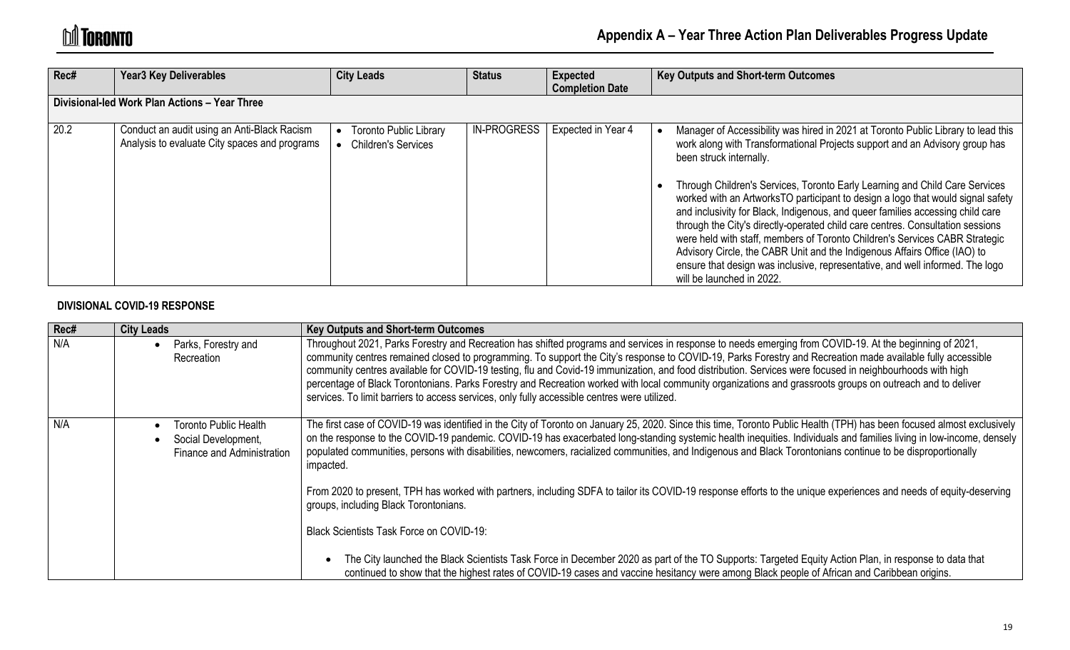| Rec# | <b>Year3 Key Deliverables</b>                                                                | <b>City Leads</b>                                           | <b>Status</b>      | <b>Expected</b><br><b>Completion Date</b> | <b>Key Outputs and Short-term Outcomes</b>                                                                                                                                                                                                                                                                                                                                                                                                                                                                                                                                                                                                                                                                                                                                                                  |
|------|----------------------------------------------------------------------------------------------|-------------------------------------------------------------|--------------------|-------------------------------------------|-------------------------------------------------------------------------------------------------------------------------------------------------------------------------------------------------------------------------------------------------------------------------------------------------------------------------------------------------------------------------------------------------------------------------------------------------------------------------------------------------------------------------------------------------------------------------------------------------------------------------------------------------------------------------------------------------------------------------------------------------------------------------------------------------------------|
|      | Divisional-led Work Plan Actions - Year Three                                                |                                                             |                    |                                           |                                                                                                                                                                                                                                                                                                                                                                                                                                                                                                                                                                                                                                                                                                                                                                                                             |
| 20.2 | Conduct an audit using an Anti-Black Racism<br>Analysis to evaluate City spaces and programs | <b>Toronto Public Library</b><br><b>Children's Services</b> | <b>IN-PROGRESS</b> | Expected in Year 4                        | Manager of Accessibility was hired in 2021 at Toronto Public Library to lead this<br>work along with Transformational Projects support and an Advisory group has<br>been struck internally.<br>Through Children's Services, Toronto Early Learning and Child Care Services<br>worked with an ArtworksTO participant to design a logo that would signal safety<br>and inclusivity for Black, Indigenous, and queer families accessing child care<br>through the City's directly-operated child care centres. Consultation sessions<br>were held with staff, members of Toronto Children's Services CABR Strategic<br>Advisory Circle, the CABR Unit and the Indigenous Affairs Office (IAO) to<br>ensure that design was inclusive, representative, and well informed. The logo<br>will be launched in 2022. |

#### **DIVISIONAL COVID-19 RESPONSE**

| Rec# | <b>City Leads</b>                                                                 | <b>Key Outputs and Short-term Outcomes</b>                                                                                                                                                                                                                                                                                                                                                                                                                                                                                                                                                                                                                                                                                                        |
|------|-----------------------------------------------------------------------------------|---------------------------------------------------------------------------------------------------------------------------------------------------------------------------------------------------------------------------------------------------------------------------------------------------------------------------------------------------------------------------------------------------------------------------------------------------------------------------------------------------------------------------------------------------------------------------------------------------------------------------------------------------------------------------------------------------------------------------------------------------|
| N/A  | Parks, Forestry and<br>Recreation                                                 | Throughout 2021, Parks Forestry and Recreation has shifted programs and services in response to needs emerging from COVID-19. At the beginning of 2021,<br>community centres remained closed to programming. To support the City's response to COVID-19, Parks Forestry and Recreation made available fully accessible<br>community centres available for COVID-19 testing, flu and Covid-19 immunization, and food distribution. Services were focused in neighbourhoods with high<br>percentage of Black Torontonians. Parks Forestry and Recreation worked with local community organizations and grassroots groups on outreach and to deliver<br>services. To limit barriers to access services, only fully accessible centres were utilized. |
| N/A  | <b>Toronto Public Health</b><br>Social Development,<br>Finance and Administration | The first case of COVID-19 was identified in the City of Toronto on January 25, 2020. Since this time, Toronto Public Health (TPH) has been focused almost exclusively<br>on the response to the COVID-19 pandemic. COVID-19 has exacerbated long-standing systemic health inequities. Individuals and families living in low-income, densely<br>populated communities, persons with disabilities, newcomers, racialized communities, and Indigenous and Black Torontonians continue to be disproportionally<br>impacted.                                                                                                                                                                                                                         |
|      |                                                                                   | From 2020 to present, TPH has worked with partners, including SDFA to tailor its COVID-19 response efforts to the unique experiences and needs of equity-deserving<br>groups, including Black Torontonians.<br>Black Scientists Task Force on COVID-19:                                                                                                                                                                                                                                                                                                                                                                                                                                                                                           |
|      |                                                                                   | The City launched the Black Scientists Task Force in December 2020 as part of the TO Supports: Targeted Equity Action Plan, in response to data that<br>continued to show that the highest rates of COVID-19 cases and vaccine hesitancy were among Black people of African and Caribbean origins.                                                                                                                                                                                                                                                                                                                                                                                                                                                |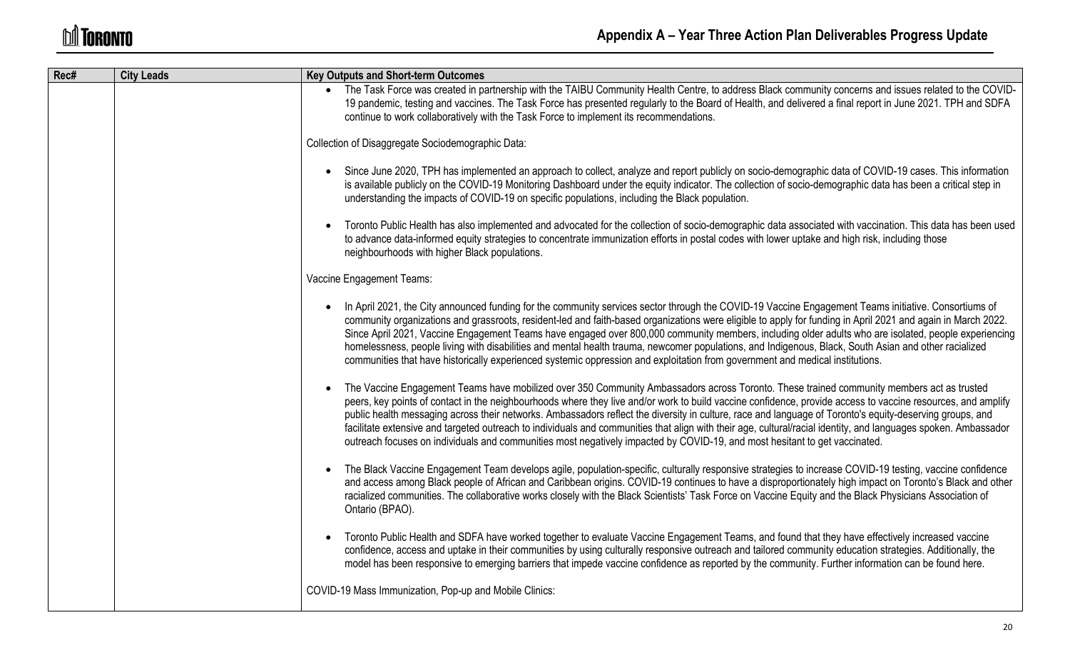| Rec# | <b>City Leads</b> | <b>Key Outputs and Short-term Outcomes</b>                                                                                                                                                                                                                                                                                                                                                                                                                                                                                                                                                                                                                                                                                                                             |
|------|-------------------|------------------------------------------------------------------------------------------------------------------------------------------------------------------------------------------------------------------------------------------------------------------------------------------------------------------------------------------------------------------------------------------------------------------------------------------------------------------------------------------------------------------------------------------------------------------------------------------------------------------------------------------------------------------------------------------------------------------------------------------------------------------------|
|      |                   | The Task Force was created in partnership with the TAIBU Community Health Centre, to address Black community concerns and issues related to the COVID-<br>19 pandemic, testing and vaccines. The Task Force has presented regularly to the Board of Health, and delivered a final report in June 2021. TPH and SDFA<br>continue to work collaboratively with the Task Force to implement its recommendations.                                                                                                                                                                                                                                                                                                                                                          |
|      |                   | Collection of Disaggregate Sociodemographic Data:                                                                                                                                                                                                                                                                                                                                                                                                                                                                                                                                                                                                                                                                                                                      |
|      |                   | Since June 2020, TPH has implemented an approach to collect, analyze and report publicly on socio-demographic data of COVID-19 cases. This information<br>is available publicly on the COVID-19 Monitoring Dashboard under the equity indicator. The collection of socio-demographic data has been a critical step in<br>understanding the impacts of COVID-19 on specific populations, including the Black population.                                                                                                                                                                                                                                                                                                                                                |
|      |                   | Toronto Public Health has also implemented and advocated for the collection of socio-demographic data associated with vaccination. This data has been used<br>to advance data-informed equity strategies to concentrate immunization efforts in postal codes with lower uptake and high risk, including those<br>neighbourhoods with higher Black populations.                                                                                                                                                                                                                                                                                                                                                                                                         |
|      |                   | Vaccine Engagement Teams:                                                                                                                                                                                                                                                                                                                                                                                                                                                                                                                                                                                                                                                                                                                                              |
|      |                   | In April 2021, the City announced funding for the community services sector through the COVID-19 Vaccine Engagement Teams initiative. Consortiums of<br>community organizations and grassroots, resident-led and faith-based organizations were eligible to apply for funding in April 2021 and again in March 2022.<br>Since April 2021, Vaccine Engagement Teams have engaged over 800,000 community members, including older adults who are isolated, people experiencing<br>homelessness, people living with disabilities and mental health trauma, newcomer populations, and Indigenous, Black, South Asian and other racialized<br>communities that have historically experienced systemic oppression and exploitation from government and medical institutions. |
|      |                   | The Vaccine Engagement Teams have mobilized over 350 Community Ambassadors across Toronto. These trained community members act as trusted<br>peers, key points of contact in the neighbourhoods where they live and/or work to build vaccine confidence, provide access to vaccine resources, and amplify<br>public health messaging across their networks. Ambassadors reflect the diversity in culture, race and language of Toronto's equity-deserving groups, and<br>facilitate extensive and targeted outreach to individuals and communities that align with their age, cultural/racial identity, and languages spoken. Ambassador<br>outreach focuses on individuals and communities most negatively impacted by COVID-19, and most hesitant to get vaccinated. |
|      |                   | The Black Vaccine Engagement Team develops agile, population-specific, culturally responsive strategies to increase COVID-19 testing, vaccine confidence<br>and access among Black people of African and Caribbean origins. COVID-19 continues to have a disproportionately high impact on Toronto's Black and other<br>racialized communities. The collaborative works closely with the Black Scientists' Task Force on Vaccine Equity and the Black Physicians Association of<br>Ontario (BPAO).                                                                                                                                                                                                                                                                     |
|      |                   | Toronto Public Health and SDFA have worked together to evaluate Vaccine Engagement Teams, and found that they have effectively increased vaccine<br>confidence, access and uptake in their communities by using culturally responsive outreach and tailored community education strategies. Additionally, the<br>model has been responsive to emerging barriers that impede vaccine confidence as reported by the community. Further information can be found here.                                                                                                                                                                                                                                                                                                    |
|      |                   | COVID-19 Mass Immunization, Pop-up and Mobile Clinics:                                                                                                                                                                                                                                                                                                                                                                                                                                                                                                                                                                                                                                                                                                                 |